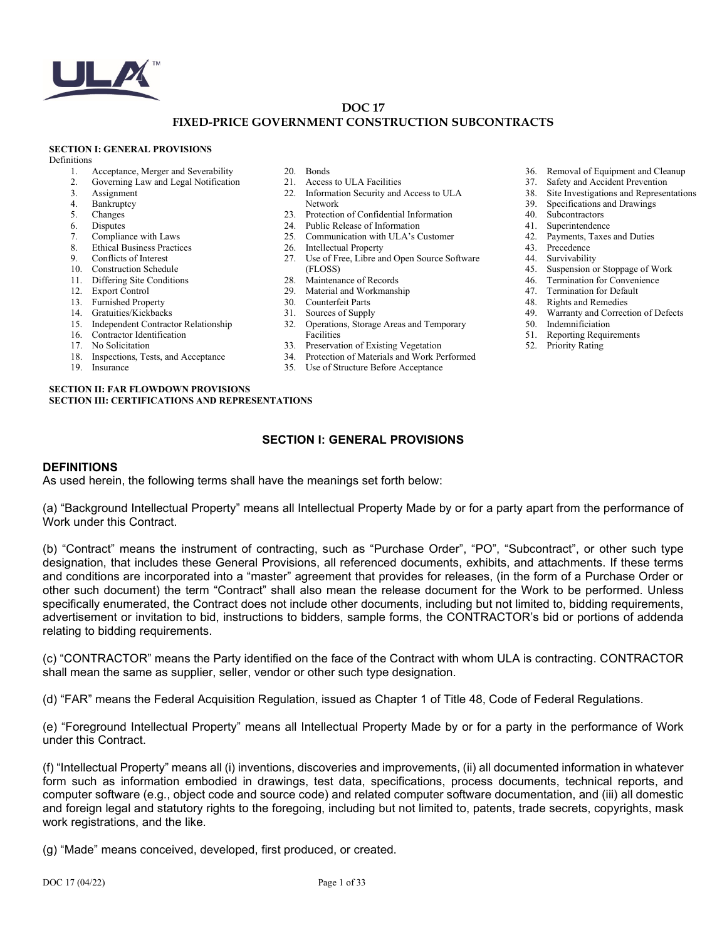

### **DOC 17 FIXED-PRICE GOVERNMENT CONSTRUCTION SUBCONTRACTS**

#### **SECTION I: GENERAL PROVISIONS**

Definitions

- 1. Acceptance, Merger and Severability<br>2. Governing Law and Legal Notification
- 2. Governing Law and Legal Notification
- 3. Assignment
- 4. Bankruptcy<br>5. Changes
- **Changes**
- 
- 6. Disputes<br>7. Complian Compliance with Laws
- 8. Ethical Business Practices
- 9. Conflicts of Interest
- 10. Construction Schedule
- 11. Differing Site Conditions
- 12. Export Control
- 
- 13. Furnished Property 14. Gratuities/Kickbacks
- 
- 15. Independent Contractor Relationship
- 16. Contractor Identification
- 17. No Solicitation
- 18. Inspections, Tests, and Acceptance
- 19. Insurance
- 20. Bonds
- 21. Access to ULA Facilities
- 22. Information Security and Access to ULA Network
- 23. Protection of Confidential Information
- 24. Public Release of Information
- 25. Communication with ULA's Customer
- 26. Intellectual Property
- 27. Use of Free, Libre and Open Source Software (FLOSS)
- 28. Maintenance of Records
- 29. Material and Workmanship
- 30. Counterfeit Parts
- 31. Sources of Supply
- 32. Operations, Storage Areas and Temporary Facilities
- 33. Preservation of Existing Vegetation
- 34. Protection of Materials and Work Performed
- 35. Use of Structure Before Acceptance
- 36. Removal of Equipment and Cleanup<br>37. Safety and Accident Prevention
- Safety and Accident Prevention
- 38. Site Investigations and Representations
- 39. Specifications and Drawings
- 40. Subcontractors
- 41. Superintendence
- 42. Payments, Taxes and Duties
- 43. Precedence
- 
- 44. Survivability<br>45. Suspension o Suspension or Stoppage of Work
- 46. Termination for Convenience
- 47. Termination for Default
- 48. Rights and Remedies
- 49. Warranty and Correction of Defects
- 50. Indemnificiation
- 51. Reporting Requirements
- 52. Priority Rating

**SECTION II: FAR FLOWDOWN PROVISIONS SECTION III: CERTIFICATIONS AND REPRESENTATIONS**

### **SECTION I: GENERAL PROVISIONS**

#### **DEFINITIONS**

As used herein, the following terms shall have the meanings set forth below:

(a) "Background Intellectual Property" means all Intellectual Property Made by or for a party apart from the performance of Work under this Contract.

(b) "Contract" means the instrument of contracting, such as "Purchase Order", "PO", "Subcontract", or other such type designation, that includes these General Provisions, all referenced documents, exhibits, and attachments. If these terms and conditions are incorporated into a "master" agreement that provides for releases, (in the form of a Purchase Order or other such document) the term "Contract" shall also mean the release document for the Work to be performed. Unless specifically enumerated, the Contract does not include other documents, including but not limited to, bidding requirements, advertisement or invitation to bid, instructions to bidders, sample forms, the CONTRACTOR's bid or portions of addenda relating to bidding requirements.

(c) "CONTRACTOR" means the Party identified on the face of the Contract with whom ULA is contracting. CONTRACTOR shall mean the same as supplier, seller, vendor or other such type designation.

(d) "FAR" means the Federal Acquisition Regulation, issued as Chapter 1 of Title 48, Code of Federal Regulations.

(e) "Foreground Intellectual Property" means all Intellectual Property Made by or for a party in the performance of Work under this Contract.

(f) "Intellectual Property" means all (i) inventions, discoveries and improvements, (ii) all documented information in whatever form such as information embodied in drawings, test data, specifications, process documents, technical reports, and computer software (e.g., object code and source code) and related computer software documentation, and (iii) all domestic and foreign legal and statutory rights to the foregoing, including but not limited to, patents, trade secrets, copyrights, mask work registrations, and the like.

(g) "Made" means conceived, developed, first produced, or created.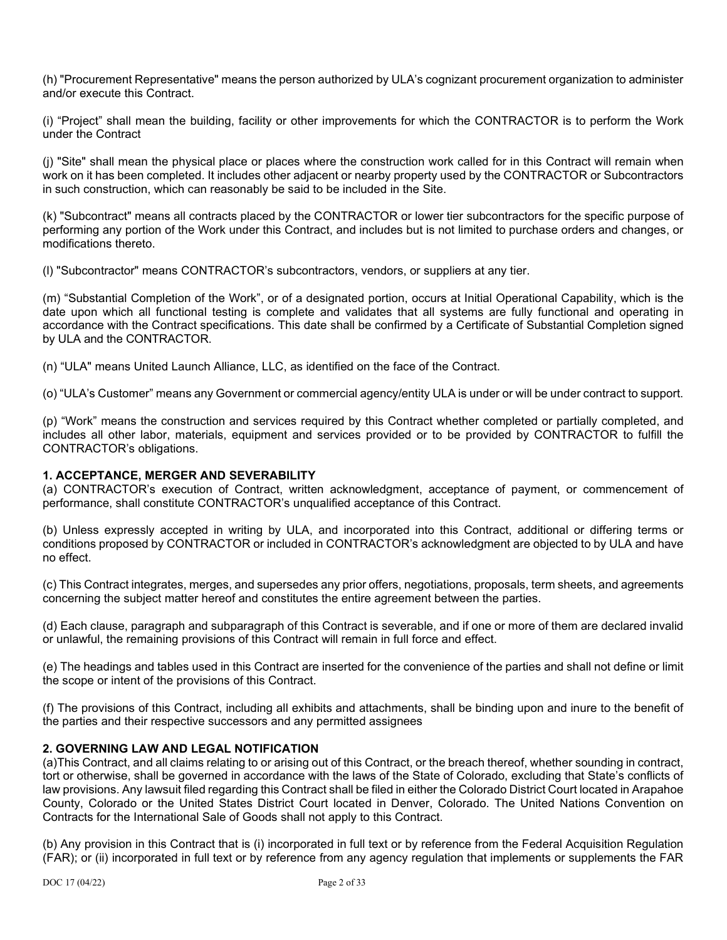(h) "Procurement Representative" means the person authorized by ULA's cognizant procurement organization to administer and/or execute this Contract.

(i) "Project" shall mean the building, facility or other improvements for which the CONTRACTOR is to perform the Work under the Contract

(j) "Site" shall mean the physical place or places where the construction work called for in this Contract will remain when work on it has been completed. It includes other adjacent or nearby property used by the CONTRACTOR or Subcontractors in such construction, which can reasonably be said to be included in the Site.

(k) "Subcontract" means all contracts placed by the CONTRACTOR or lower tier subcontractors for the specific purpose of performing any portion of the Work under this Contract, and includes but is not limited to purchase orders and changes, or modifications thereto.

(l) "Subcontractor" means CONTRACTOR's subcontractors, vendors, or suppliers at any tier.

(m) "Substantial Completion of the Work", or of a designated portion, occurs at Initial Operational Capability, which is the date upon which all functional testing is complete and validates that all systems are fully functional and operating in accordance with the Contract specifications. This date shall be confirmed by a Certificate of Substantial Completion signed by ULA and the CONTRACTOR.

(n) "ULA" means United Launch Alliance, LLC, as identified on the face of the Contract.

(o) "ULA's Customer" means any Government or commercial agency/entity ULA is under or will be under contract to support.

(p) "Work" means the construction and services required by this Contract whether completed or partially completed, and includes all other labor, materials, equipment and services provided or to be provided by CONTRACTOR to fulfill the CONTRACTOR's obligations.

## **1. ACCEPTANCE, MERGER AND SEVERABILITY**

(a) CONTRACTOR's execution of Contract, written acknowledgment, acceptance of payment, or commencement of performance, shall constitute CONTRACTOR's unqualified acceptance of this Contract.

(b) Unless expressly accepted in writing by ULA, and incorporated into this Contract, additional or differing terms or conditions proposed by CONTRACTOR or included in CONTRACTOR's acknowledgment are objected to by ULA and have no effect.

(c) This Contract integrates, merges, and supersedes any prior offers, negotiations, proposals, term sheets, and agreements concerning the subject matter hereof and constitutes the entire agreement between the parties.

(d) Each clause, paragraph and subparagraph of this Contract is severable, and if one or more of them are declared invalid or unlawful, the remaining provisions of this Contract will remain in full force and effect.

(e) The headings and tables used in this Contract are inserted for the convenience of the parties and shall not define or limit the scope or intent of the provisions of this Contract.

(f) The provisions of this Contract, including all exhibits and attachments, shall be binding upon and inure to the benefit of the parties and their respective successors and any permitted assignees

## **2. GOVERNING LAW AND LEGAL NOTIFICATION**

(a)This Contract, and all claims relating to or arising out of this Contract, or the breach thereof, whether sounding in contract, tort or otherwise, shall be governed in accordance with the laws of the State of Colorado, excluding that State's conflicts of law provisions. Any lawsuit filed regarding this Contract shall be filed in either the Colorado District Court located in Arapahoe County, Colorado or the United States District Court located in Denver, Colorado. The United Nations Convention on Contracts for the International Sale of Goods shall not apply to this Contract.

(b) Any provision in this Contract that is (i) incorporated in full text or by reference from the Federal Acquisition Regulation (FAR); or (ii) incorporated in full text or by reference from any agency regulation that implements or supplements the FAR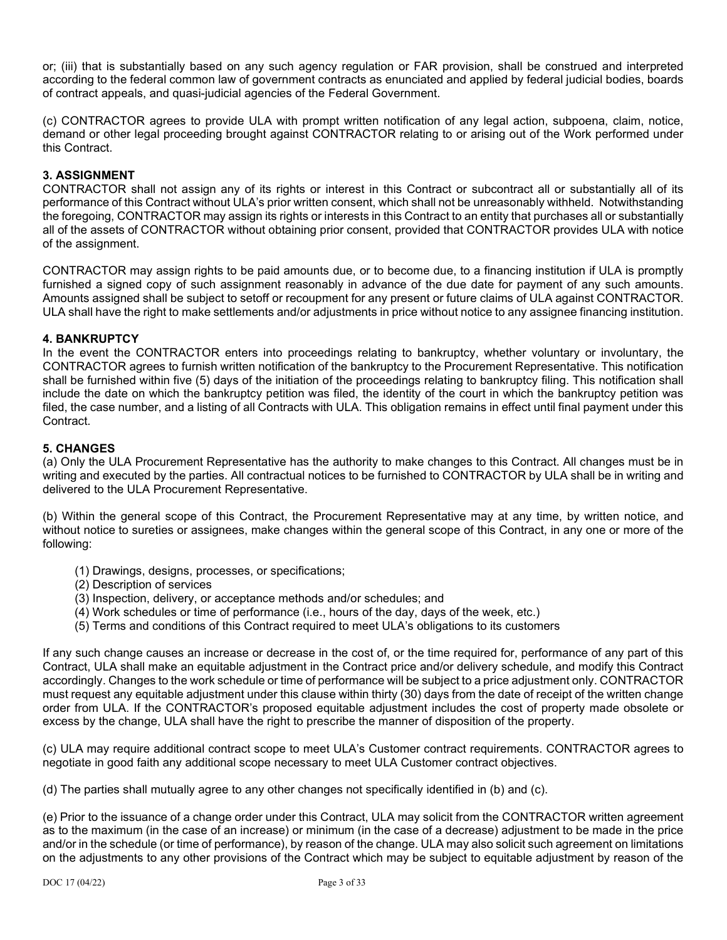or; (iii) that is substantially based on any such agency regulation or FAR provision, shall be construed and interpreted according to the federal common law of government contracts as enunciated and applied by federal judicial bodies, boards of contract appeals, and quasi-judicial agencies of the Federal Government.

(c) CONTRACTOR agrees to provide ULA with prompt written notification of any legal action, subpoena, claim, notice, demand or other legal proceeding brought against CONTRACTOR relating to or arising out of the Work performed under this Contract.

## **3. ASSIGNMENT**

CONTRACTOR shall not assign any of its rights or interest in this Contract or subcontract all or substantially all of its performance of this Contract without ULA's prior written consent, which shall not be unreasonably withheld. Notwithstanding the foregoing, CONTRACTOR may assign its rights or interests in this Contract to an entity that purchases all or substantially all of the assets of CONTRACTOR without obtaining prior consent, provided that CONTRACTOR provides ULA with notice of the assignment.

CONTRACTOR may assign rights to be paid amounts due, or to become due, to a financing institution if ULA is promptly furnished a signed copy of such assignment reasonably in advance of the due date for payment of any such amounts. Amounts assigned shall be subject to setoff or recoupment for any present or future claims of ULA against CONTRACTOR. ULA shall have the right to make settlements and/or adjustments in price without notice to any assignee financing institution.

## **4. BANKRUPTCY**

In the event the CONTRACTOR enters into proceedings relating to bankruptcy, whether voluntary or involuntary, the CONTRACTOR agrees to furnish written notification of the bankruptcy to the Procurement Representative. This notification shall be furnished within five (5) days of the initiation of the proceedings relating to bankruptcy filing. This notification shall include the date on which the bankruptcy petition was filed, the identity of the court in which the bankruptcy petition was filed, the case number, and a listing of all Contracts with ULA. This obligation remains in effect until final payment under this Contract.

## **5. CHANGES**

(a) Only the ULA Procurement Representative has the authority to make changes to this Contract. All changes must be in writing and executed by the parties. All contractual notices to be furnished to CONTRACTOR by ULA shall be in writing and delivered to the ULA Procurement Representative.

(b) Within the general scope of this Contract, the Procurement Representative may at any time, by written notice, and without notice to sureties or assignees, make changes within the general scope of this Contract, in any one or more of the following:

- (1) Drawings, designs, processes, or specifications;
- (2) Description of services
- (3) Inspection, delivery, or acceptance methods and/or schedules; and
- (4) Work schedules or time of performance (i.e., hours of the day, days of the week, etc.)
- (5) Terms and conditions of this Contract required to meet ULA's obligations to its customers

If any such change causes an increase or decrease in the cost of, or the time required for, performance of any part of this Contract, ULA shall make an equitable adjustment in the Contract price and/or delivery schedule, and modify this Contract accordingly. Changes to the work schedule or time of performance will be subject to a price adjustment only. CONTRACTOR must request any equitable adjustment under this clause within thirty (30) days from the date of receipt of the written change order from ULA. If the CONTRACTOR's proposed equitable adjustment includes the cost of property made obsolete or excess by the change, ULA shall have the right to prescribe the manner of disposition of the property.

(c) ULA may require additional contract scope to meet ULA's Customer contract requirements. CONTRACTOR agrees to negotiate in good faith any additional scope necessary to meet ULA Customer contract objectives.

(d) The parties shall mutually agree to any other changes not specifically identified in (b) and (c).

(e) Prior to the issuance of a change order under this Contract, ULA may solicit from the CONTRACTOR written agreement as to the maximum (in the case of an increase) or minimum (in the case of a decrease) adjustment to be made in the price and/or in the schedule (or time of performance), by reason of the change. ULA may also solicit such agreement on limitations on the adjustments to any other provisions of the Contract which may be subject to equitable adjustment by reason of the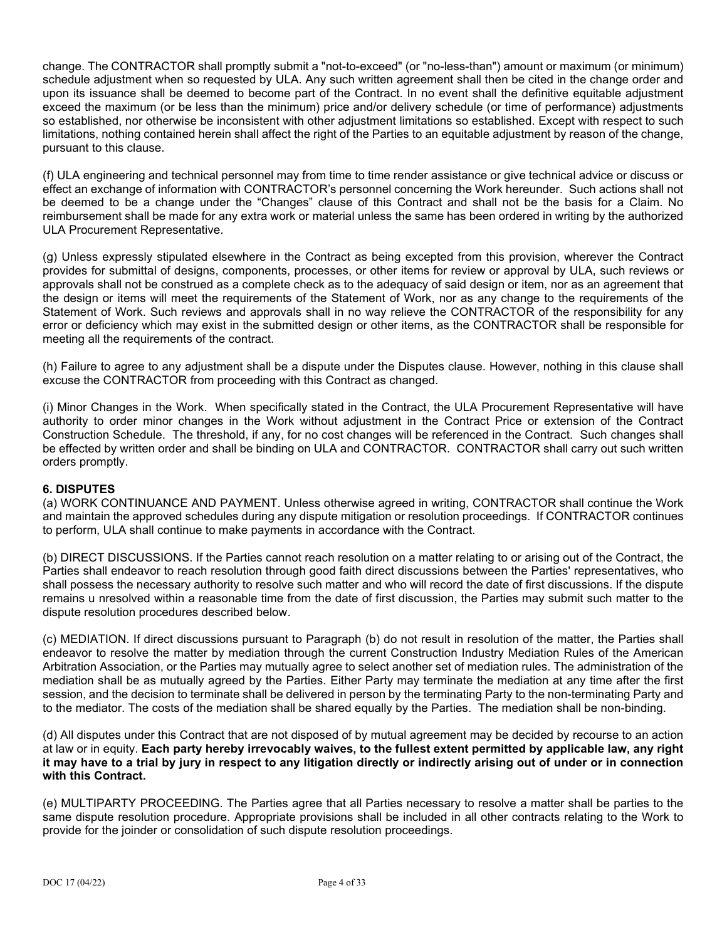change. The CONTRACTOR shall promptly submit a "not-to-exceed" (or "no-less-than") amount or maximum (or minimum) schedule adjustment when so requested by ULA. Any such written agreement shall then be cited in the change order and upon its issuance shall be deemed to become part of the Contract. In no event shall the definitive equitable adjustment exceed the maximum (or be less than the minimum) price and/or delivery schedule (or time of performance) adjustments so established, nor otherwise be inconsistent with other adjustment limitations so established. Except with respect to such limitations, nothing contained herein shall affect the right of the Parties to an equitable adjustment by reason of the change, pursuant to this clause.

(f) ULA engineering and technical personnel may from time to time render assistance or give technical advice or discuss or effect an exchange of information with CONTRACTOR's personnel concerning the Work hereunder. Such actions shall not be deemed to be a change under the "Changes" clause of this Contract and shall not be the basis for a Claim. No reimbursement shall be made for any extra work or material unless the same has been ordered in writing by the authorized ULA Procurement Representative.

(g) Unless expressly stipulated elsewhere in the Contract as being excepted from this provision, wherever the Contract provides for submittal of designs, components, processes, or other items for review or approval by ULA, such reviews or approvals shall not be construed as a complete check as to the adequacy of said design or item, nor as an agreement that the design or items will meet the requirements of the Statement of Work, nor as any change to the requirements of the Statement of Work. Such reviews and approvals shall in no way relieve the CONTRACTOR of the responsibility for any error or deficiency which may exist in the submitted design or other items, as the CONTRACTOR shall be responsible for meeting all the requirements of the contract.

(h) Failure to agree to any adjustment shall be a dispute under the Disputes clause. However, nothing in this clause shall excuse the CONTRACTOR from proceeding with this Contract as changed.

(i) Minor Changes in the Work. When specifically stated in the Contract, the ULA Procurement Representative will have authority to order minor changes in the Work without adjustment in the Contract Price or extension of the Contract Construction Schedule. The threshold, if any, for no cost changes will be referenced in the Contract. Such changes shall be effected by written order and shall be binding on ULA and CONTRACTOR. CONTRACTOR shall carry out such written orders promptly.

## **6. DISPUTES**

(a) WORK CONTINUANCE AND PAYMENT. Unless otherwise agreed in writing, CONTRACTOR shall continue the Work and maintain the approved schedules during any dispute mitigation or resolution proceedings. If CONTRACTOR continues to perform, ULA shall continue to make payments in accordance with the Contract.

(b) DIRECT DISCUSSIONS. If the Parties cannot reach resolution on a matter relating to or arising out of the Contract, the Parties shall endeavor to reach resolution through good faith direct discussions between the Parties' representatives, who shall possess the necessary authority to resolve such matter and who will record the date of first discussions. If the dispute remains u nresolved within a reasonable time from the date of first discussion, the Parties may submit such matter to the dispute resolution procedures described below.

(c) MEDIATION. If direct discussions pursuant to Paragraph (b) do not result in resolution of the matter, the Parties shall endeavor to resolve the matter by mediation through the current Construction Industry Mediation Rules of the American Arbitration Association, or the Parties may mutually agree to select another set of mediation rules. The administration of the mediation shall be as mutually agreed by the Parties. Either Party may terminate the mediation at any time after the first session, and the decision to terminate shall be delivered in person by the terminating Party to the non-terminating Party and to the mediator. The costs of the mediation shall be shared equally by the Parties. The mediation shall be non-binding.

(d) All disputes under this Contract that are not disposed of by mutual agreement may be decided by recourse to an action at law or in equity. **Each party hereby irrevocably waives, to the fullest extent permitted by applicable law, any right it may have to a trial by jury in respect to any litigation directly or indirectly arising out of under or in connection with this Contract.**

(e) MULTIPARTY PROCEEDING. The Parties agree that all Parties necessary to resolve a matter shall be parties to the same dispute resolution procedure. Appropriate provisions shall be included in all other contracts relating to the Work to provide for the joinder or consolidation of such dispute resolution proceedings.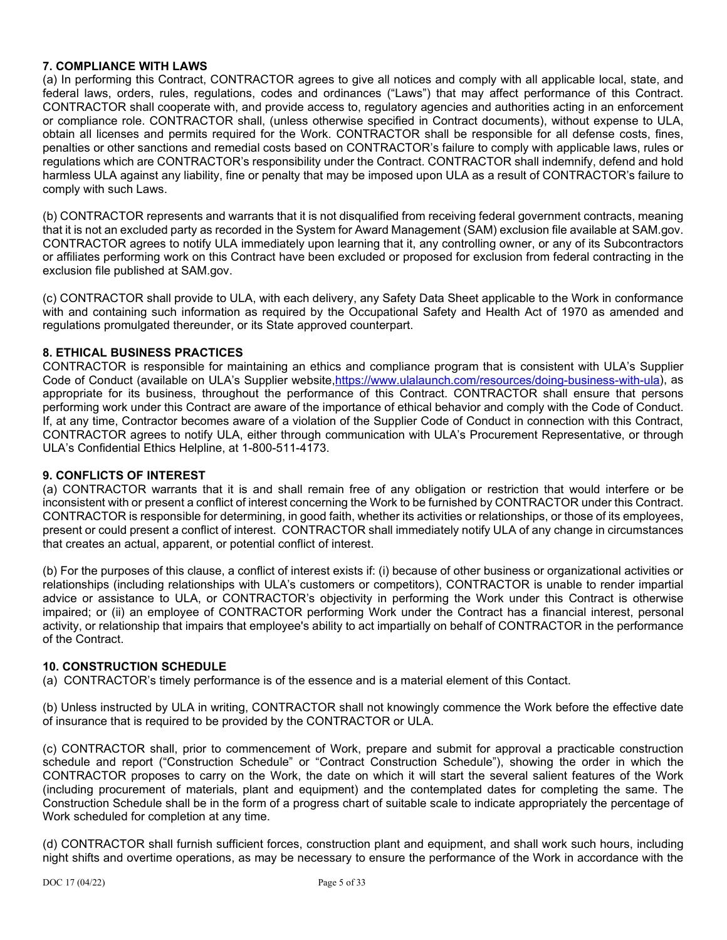## **7. COMPLIANCE WITH LAWS**

(a) In performing this Contract, CONTRACTOR agrees to give all notices and comply with all applicable local, state, and federal laws, orders, rules, regulations, codes and ordinances ("Laws") that may affect performance of this Contract. CONTRACTOR shall cooperate with, and provide access to, regulatory agencies and authorities acting in an enforcement or compliance role. CONTRACTOR shall, (unless otherwise specified in Contract documents), without expense to ULA, obtain all licenses and permits required for the Work. CONTRACTOR shall be responsible for all defense costs, fines, penalties or other sanctions and remedial costs based on CONTRACTOR's failure to comply with applicable laws, rules or regulations which are CONTRACTOR's responsibility under the Contract. CONTRACTOR shall indemnify, defend and hold harmless ULA against any liability, fine or penalty that may be imposed upon ULA as a result of CONTRACTOR's failure to comply with such Laws.

(b) CONTRACTOR represents and warrants that it is not disqualified from receiving federal government contracts, meaning that it is not an excluded party as recorded in the System for Award Management (SAM) exclusion file available at SAM.gov. CONTRACTOR agrees to notify ULA immediately upon learning that it, any controlling owner, or any of its Subcontractors or affiliates performing work on this Contract have been excluded or proposed for exclusion from federal contracting in the exclusion file published at SAM.gov.

(c) CONTRACTOR shall provide to ULA, with each delivery, any Safety Data Sheet applicable to the Work in conformance with and containing such information as required by the Occupational Safety and Health Act of 1970 as amended and regulations promulgated thereunder, or its State approved counterpart.

### **8. ETHICAL BUSINESS PRACTICES**

CONTRACTOR is responsible for maintaining an ethics and compliance program that is consistent with ULA's Supplier Code of Conduct (available on ULA's Supplier website, https://www.ulalaunch.com/resources/doing-business-with-ula), as appropriate for its business, throughout the performance of this Contract. CONTRACTOR shall ensure that persons performing work under this Contract are aware of the importance of ethical behavior and comply with the Code of Conduct. If, at any time, Contractor becomes aware of a violation of the Supplier Code of Conduct in connection with this Contract, CONTRACTOR agrees to notify ULA, either through communication with ULA's Procurement Representative, or through ULA's Confidential Ethics Helpline, at 1-800-511-4173.

#### **9. CONFLICTS OF INTEREST**

(a) CONTRACTOR warrants that it is and shall remain free of any obligation or restriction that would interfere or be inconsistent with or present a conflict of interest concerning the Work to be furnished by CONTRACTOR under this Contract. CONTRACTOR is responsible for determining, in good faith, whether its activities or relationships, or those of its employees, present or could present a conflict of interest. CONTRACTOR shall immediately notify ULA of any change in circumstances that creates an actual, apparent, or potential conflict of interest.

(b) For the purposes of this clause, a conflict of interest exists if: (i) because of other business or organizational activities or relationships (including relationships with ULA's customers or competitors), CONTRACTOR is unable to render impartial advice or assistance to ULA, or CONTRACTOR's objectivity in performing the Work under this Contract is otherwise impaired; or (ii) an employee of CONTRACTOR performing Work under the Contract has a financial interest, personal activity, or relationship that impairs that employee's ability to act impartially on behalf of CONTRACTOR in the performance of the Contract.

#### **10. CONSTRUCTION SCHEDULE**

(a) CONTRACTOR's timely performance is of the essence and is a material element of this Contact.

(b) Unless instructed by ULA in writing, CONTRACTOR shall not knowingly commence the Work before the effective date of insurance that is required to be provided by the CONTRACTOR or ULA.

(c) CONTRACTOR shall, prior to commencement of Work, prepare and submit for approval a practicable construction schedule and report ("Construction Schedule" or "Contract Construction Schedule"), showing the order in which the CONTRACTOR proposes to carry on the Work, the date on which it will start the several salient features of the Work (including procurement of materials, plant and equipment) and the contemplated dates for completing the same. The Construction Schedule shall be in the form of a progress chart of suitable scale to indicate appropriately the percentage of Work scheduled for completion at any time.

(d) CONTRACTOR shall furnish sufficient forces, construction plant and equipment, and shall work such hours, including night shifts and overtime operations, as may be necessary to ensure the performance of the Work in accordance with the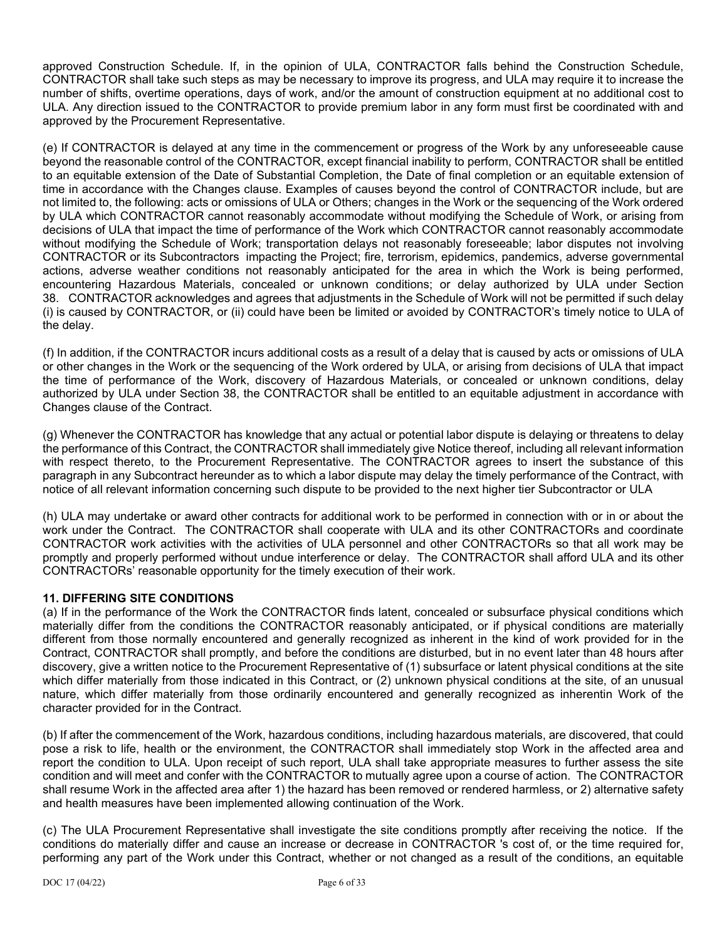approved Construction Schedule. If, in the opinion of ULA, CONTRACTOR falls behind the Construction Schedule, CONTRACTOR shall take such steps as may be necessary to improve its progress, and ULA may require it to increase the number of shifts, overtime operations, days of work, and/or the amount of construction equipment at no additional cost to ULA. Any direction issued to the CONTRACTOR to provide premium labor in any form must first be coordinated with and approved by the Procurement Representative.

(e) If CONTRACTOR is delayed at any time in the commencement or progress of the Work by any unforeseeable cause beyond the reasonable control of the CONTRACTOR, except financial inability to perform, CONTRACTOR shall be entitled to an equitable extension of the Date of Substantial Completion, the Date of final completion or an equitable extension of time in accordance with the Changes clause. Examples of causes beyond the control of CONTRACTOR include, but are not limited to, the following: acts or omissions of ULA or Others; changes in the Work or the sequencing of the Work ordered by ULA which CONTRACTOR cannot reasonably accommodate without modifying the Schedule of Work, or arising from decisions of ULA that impact the time of performance of the Work which CONTRACTOR cannot reasonably accommodate without modifying the Schedule of Work; transportation delays not reasonably foreseeable; labor disputes not involving CONTRACTOR or its Subcontractors impacting the Project; fire, terrorism, epidemics, pandemics, adverse governmental actions, adverse weather conditions not reasonably anticipated for the area in which the Work is being performed, encountering Hazardous Materials, concealed or unknown conditions; or delay authorized by ULA under Section 38. CONTRACTOR acknowledges and agrees that adjustments in the Schedule of Work will not be permitted if such delay (i) is caused by CONTRACTOR, or (ii) could have been be limited or avoided by CONTRACTOR's timely notice to ULA of the delay.

(f) In addition, if the CONTRACTOR incurs additional costs as a result of a delay that is caused by acts or omissions of ULA or other changes in the Work or the sequencing of the Work ordered by ULA, or arising from decisions of ULA that impact the time of performance of the Work, discovery of Hazardous Materials, or concealed or unknown conditions, delay authorized by ULA under Section 38, the CONTRACTOR shall be entitled to an equitable adjustment in accordance with Changes clause of the Contract.

(g) Whenever the CONTRACTOR has knowledge that any actual or potential labor dispute is delaying or threatens to delay the performance of this Contract, the CONTRACTOR shall immediately give Notice thereof, including all relevant information with respect thereto, to the Procurement Representative. The CONTRACTOR agrees to insert the substance of this paragraph in any Subcontract hereunder as to which a labor dispute may delay the timely performance of the Contract, with notice of all relevant information concerning such dispute to be provided to the next higher tier Subcontractor or ULA

(h) ULA may undertake or award other contracts for additional work to be performed in connection with or in or about the work under the Contract. The CONTRACTOR shall cooperate with ULA and its other CONTRACTORs and coordinate CONTRACTOR work activities with the activities of ULA personnel and other CONTRACTORs so that all work may be promptly and properly performed without undue interference or delay. The CONTRACTOR shall afford ULA and its other CONTRACTORs' reasonable opportunity for the timely execution of their work.

# **11. DIFFERING SITE CONDITIONS**

(a) If in the performance of the Work the CONTRACTOR finds latent, concealed or subsurface physical conditions which materially differ from the conditions the CONTRACTOR reasonably anticipated, or if physical conditions are materially different from those normally encountered and generally recognized as inherent in the kind of work provided for in the Contract, CONTRACTOR shall promptly, and before the conditions are disturbed, but in no event later than 48 hours after discovery, give a written notice to the Procurement Representative of (1) subsurface or latent physical conditions at the site which differ materially from those indicated in this Contract, or (2) unknown physical conditions at the site, of an unusual nature, which differ materially from those ordinarily encountered and generally recognized as inherentin Work of the character provided for in the Contract.

(b) If after the commencement of the Work, hazardous conditions, including hazardous materials, are discovered, that could pose a risk to life, health or the environment, the CONTRACTOR shall immediately stop Work in the affected area and report the condition to ULA. Upon receipt of such report, ULA shall take appropriate measures to further assess the site condition and will meet and confer with the CONTRACTOR to mutually agree upon a course of action. The CONTRACTOR shall resume Work in the affected area after 1) the hazard has been removed or rendered harmless, or 2) alternative safety and health measures have been implemented allowing continuation of the Work.

(c) The ULA Procurement Representative shall investigate the site conditions promptly after receiving the notice. If the conditions do materially differ and cause an increase or decrease in CONTRACTOR 's cost of, or the time required for, performing any part of the Work under this Contract, whether or not changed as a result of the conditions, an equitable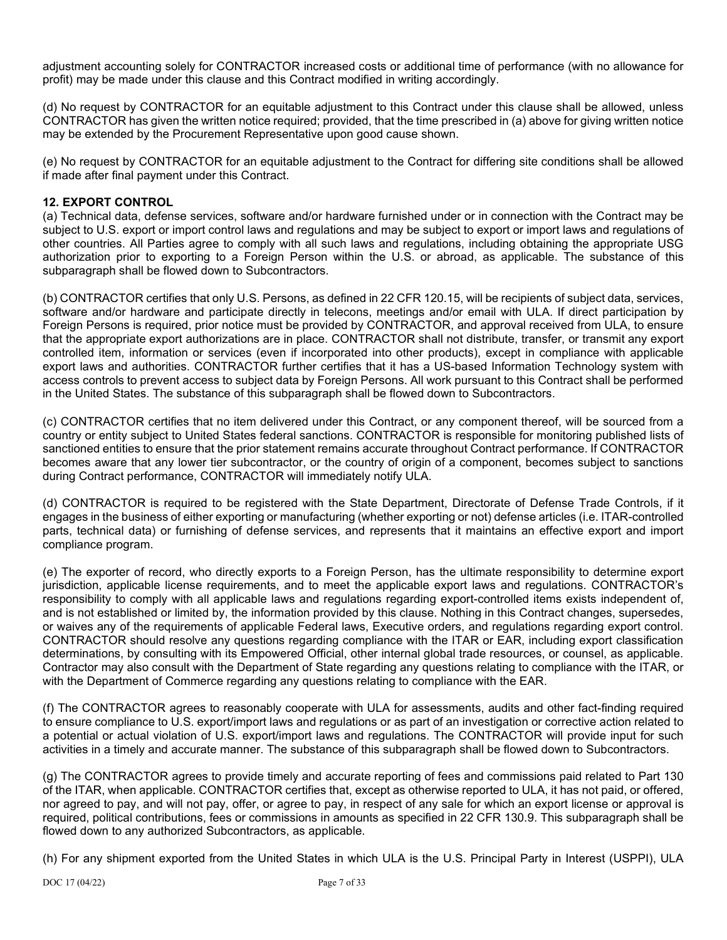adjustment accounting solely for CONTRACTOR increased costs or additional time of performance (with no allowance for profit) may be made under this clause and this Contract modified in writing accordingly.

(d) No request by CONTRACTOR for an equitable adjustment to this Contract under this clause shall be allowed, unless CONTRACTOR has given the written notice required; provided, that the time prescribed in (a) above for giving written notice may be extended by the Procurement Representative upon good cause shown.

(e) No request by CONTRACTOR for an equitable adjustment to the Contract for differing site conditions shall be allowed if made after final payment under this Contract.

## **12. EXPORT CONTROL**

(a) Technical data, defense services, software and/or hardware furnished under or in connection with the Contract may be subject to U.S. export or import control laws and regulations and may be subject to export or import laws and regulations of other countries. All Parties agree to comply with all such laws and regulations, including obtaining the appropriate USG authorization prior to exporting to a Foreign Person within the U.S. or abroad, as applicable. The substance of this subparagraph shall be flowed down to Subcontractors.

(b) CONTRACTOR certifies that only U.S. Persons, as defined in 22 CFR 120.15, will be recipients of subject data, services, software and/or hardware and participate directly in telecons, meetings and/or email with ULA. If direct participation by Foreign Persons is required, prior notice must be provided by CONTRACTOR, and approval received from ULA, to ensure that the appropriate export authorizations are in place. CONTRACTOR shall not distribute, transfer, or transmit any export controlled item, information or services (even if incorporated into other products), except in compliance with applicable export laws and authorities. CONTRACTOR further certifies that it has a US-based Information Technology system with access controls to prevent access to subject data by Foreign Persons. All work pursuant to this Contract shall be performed in the United States. The substance of this subparagraph shall be flowed down to Subcontractors.

(c) CONTRACTOR certifies that no item delivered under this Contract, or any component thereof, will be sourced from a country or entity subject to United States federal sanctions. CONTRACTOR is responsible for monitoring published lists of sanctioned entities to ensure that the prior statement remains accurate throughout Contract performance. If CONTRACTOR becomes aware that any lower tier subcontractor, or the country of origin of a component, becomes subject to sanctions during Contract performance, CONTRACTOR will immediately notify ULA.

(d) CONTRACTOR is required to be registered with the State Department, Directorate of Defense Trade Controls, if it engages in the business of either exporting or manufacturing (whether exporting or not) defense articles (i.e. ITAR-controlled parts, technical data) or furnishing of defense services, and represents that it maintains an effective export and import compliance program.

(e) The exporter of record, who directly exports to a Foreign Person, has the ultimate responsibility to determine export jurisdiction, applicable license requirements, and to meet the applicable export laws and regulations. CONTRACTOR's responsibility to comply with all applicable laws and regulations regarding export-controlled items exists independent of, and is not established or limited by, the information provided by this clause. Nothing in this Contract changes, supersedes, or waives any of the requirements of applicable Federal laws, Executive orders, and regulations regarding export control. CONTRACTOR should resolve any questions regarding compliance with the ITAR or EAR, including export classification determinations, by consulting with its Empowered Official, other internal global trade resources, or counsel, as applicable. Contractor may also consult with the Department of State regarding any questions relating to compliance with the ITAR, or with the Department of Commerce regarding any questions relating to compliance with the EAR.

(f) The CONTRACTOR agrees to reasonably cooperate with ULA for assessments, audits and other fact-finding required to ensure compliance to U.S. export/import laws and regulations or as part of an investigation or corrective action related to a potential or actual violation of U.S. export/import laws and regulations. The CONTRACTOR will provide input for such activities in a timely and accurate manner. The substance of this subparagraph shall be flowed down to Subcontractors.

(g) The CONTRACTOR agrees to provide timely and accurate reporting of fees and commissions paid related to Part 130 of the ITAR, when applicable. CONTRACTOR certifies that, except as otherwise reported to ULA, it has not paid, or offered, nor agreed to pay, and will not pay, offer, or agree to pay, in respect of any sale for which an export license or approval is required, political contributions, fees or commissions in amounts as specified in 22 CFR 130.9. This subparagraph shall be flowed down to any authorized Subcontractors, as applicable.

(h) For any shipment exported from the United States in which ULA is the U.S. Principal Party in Interest (USPPI), ULA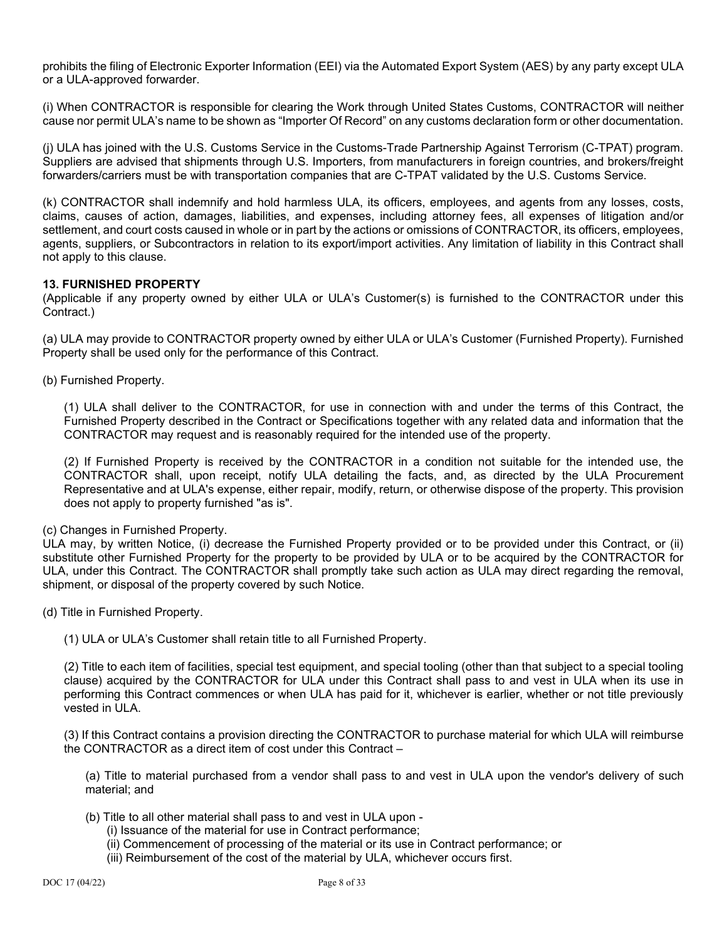prohibits the filing of Electronic Exporter Information (EEI) via the Automated Export System (AES) by any party except ULA or a ULA-approved forwarder.

(i) When CONTRACTOR is responsible for clearing the Work through United States Customs, CONTRACTOR will neither cause nor permit ULA's name to be shown as "Importer Of Record" on any customs declaration form or other documentation.

(j) ULA has joined with the U.S. Customs Service in the Customs-Trade Partnership Against Terrorism (C-TPAT) program. Suppliers are advised that shipments through U.S. Importers, from manufacturers in foreign countries, and brokers/freight forwarders/carriers must be with transportation companies that are C-TPAT validated by the U.S. Customs Service.

(k) CONTRACTOR shall indemnify and hold harmless ULA, its officers, employees, and agents from any losses, costs, claims, causes of action, damages, liabilities, and expenses, including attorney fees, all expenses of litigation and/or settlement, and court costs caused in whole or in part by the actions or omissions of CONTRACTOR, its officers, employees, agents, suppliers, or Subcontractors in relation to its export/import activities. Any limitation of liability in this Contract shall not apply to this clause.

### **13. FURNISHED PROPERTY**

(Applicable if any property owned by either ULA or ULA's Customer(s) is furnished to the CONTRACTOR under this Contract.)

(a) ULA may provide to CONTRACTOR property owned by either ULA or ULA's Customer (Furnished Property). Furnished Property shall be used only for the performance of this Contract.

(b) Furnished Property.

(1) ULA shall deliver to the CONTRACTOR, for use in connection with and under the terms of this Contract, the Furnished Property described in the Contract or Specifications together with any related data and information that the CONTRACTOR may request and is reasonably required for the intended use of the property.

(2) If Furnished Property is received by the CONTRACTOR in a condition not suitable for the intended use, the CONTRACTOR shall, upon receipt, notify ULA detailing the facts, and, as directed by the ULA Procurement Representative and at ULA's expense, either repair, modify, return, or otherwise dispose of the property. This provision does not apply to property furnished "as is".

(c) Changes in Furnished Property.

ULA may, by written Notice, (i) decrease the Furnished Property provided or to be provided under this Contract, or (ii) substitute other Furnished Property for the property to be provided by ULA or to be acquired by the CONTRACTOR for ULA, under this Contract. The CONTRACTOR shall promptly take such action as ULA may direct regarding the removal, shipment, or disposal of the property covered by such Notice.

- (d) Title in Furnished Property.
	- (1) ULA or ULA's Customer shall retain title to all Furnished Property.

(2) Title to each item of facilities, special test equipment, and special tooling (other than that subject to a special tooling clause) acquired by the CONTRACTOR for ULA under this Contract shall pass to and vest in ULA when its use in performing this Contract commences or when ULA has paid for it, whichever is earlier, whether or not title previously vested in ULA.

(3) If this Contract contains a provision directing the CONTRACTOR to purchase material for which ULA will reimburse the CONTRACTOR as a direct item of cost under this Contract –

(a) Title to material purchased from a vendor shall pass to and vest in ULA upon the vendor's delivery of such material; and

(b) Title to all other material shall pass to and vest in ULA upon -

- (i) Issuance of the material for use in Contract performance;
- (ii) Commencement of processing of the material or its use in Contract performance; or
- (iii) Reimbursement of the cost of the material by ULA, whichever occurs first.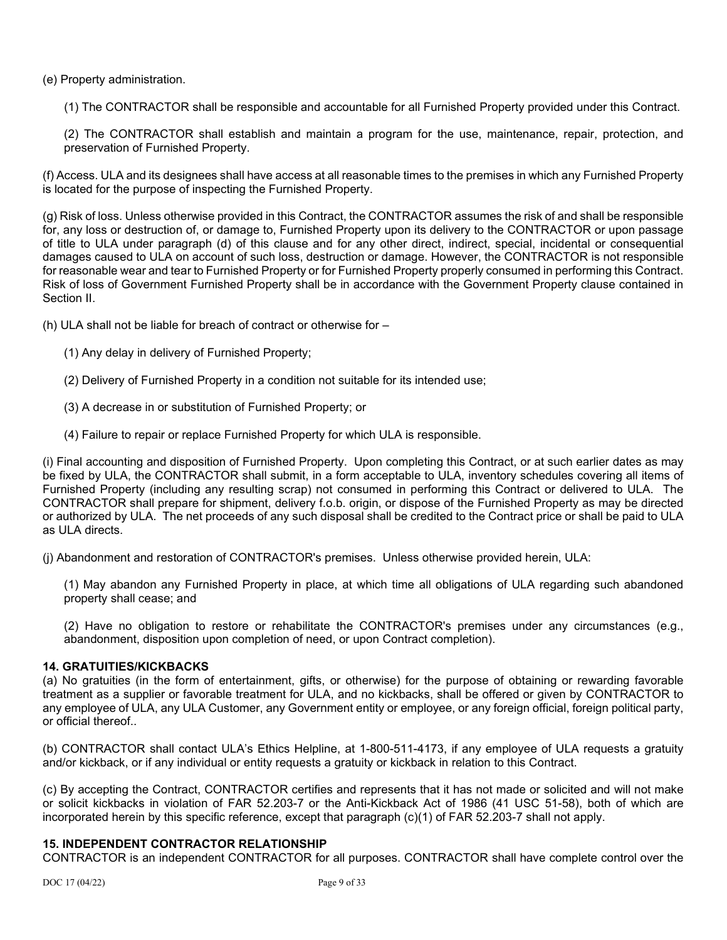(e) Property administration.

(1) The CONTRACTOR shall be responsible and accountable for all Furnished Property provided under this Contract.

(2) The CONTRACTOR shall establish and maintain a program for the use, maintenance, repair, protection, and preservation of Furnished Property.

(f) Access. ULA and its designees shall have access at all reasonable times to the premises in which any Furnished Property is located for the purpose of inspecting the Furnished Property.

(g) Risk of loss. Unless otherwise provided in this Contract, the CONTRACTOR assumes the risk of and shall be responsible for, any loss or destruction of, or damage to, Furnished Property upon its delivery to the CONTRACTOR or upon passage of title to ULA under paragraph (d) of this clause and for any other direct, indirect, special, incidental or consequential damages caused to ULA on account of such loss, destruction or damage. However, the CONTRACTOR is not responsible for reasonable wear and tear to Furnished Property or for Furnished Property properly consumed in performing this Contract. Risk of loss of Government Furnished Property shall be in accordance with the Government Property clause contained in Section II.

(h) ULA shall not be liable for breach of contract or otherwise for –

- (1) Any delay in delivery of Furnished Property;
- (2) Delivery of Furnished Property in a condition not suitable for its intended use;
- (3) A decrease in or substitution of Furnished Property; or
- (4) Failure to repair or replace Furnished Property for which ULA is responsible.

(i) Final accounting and disposition of Furnished Property. Upon completing this Contract, or at such earlier dates as may be fixed by ULA, the CONTRACTOR shall submit, in a form acceptable to ULA, inventory schedules covering all items of Furnished Property (including any resulting scrap) not consumed in performing this Contract or delivered to ULA. The CONTRACTOR shall prepare for shipment, delivery f.o.b. origin, or dispose of the Furnished Property as may be directed or authorized by ULA. The net proceeds of any such disposal shall be credited to the Contract price or shall be paid to ULA as ULA directs.

(j) Abandonment and restoration of CONTRACTOR's premises. Unless otherwise provided herein, ULA:

(1) May abandon any Furnished Property in place, at which time all obligations of ULA regarding such abandoned property shall cease; and

(2) Have no obligation to restore or rehabilitate the CONTRACTOR's premises under any circumstances (e.g., abandonment, disposition upon completion of need, or upon Contract completion).

#### **14. GRATUITIES/KICKBACKS**

(a) No gratuities (in the form of entertainment, gifts, or otherwise) for the purpose of obtaining or rewarding favorable treatment as a supplier or favorable treatment for ULA, and no kickbacks, shall be offered or given by CONTRACTOR to any employee of ULA, any ULA Customer, any Government entity or employee, or any foreign official, foreign political party, or official thereof..

(b) CONTRACTOR shall contact ULA's Ethics Helpline, at 1-800-511-4173, if any employee of ULA requests a gratuity and/or kickback, or if any individual or entity requests a gratuity or kickback in relation to this Contract.

(c) By accepting the Contract, CONTRACTOR certifies and represents that it has not made or solicited and will not make or solicit kickbacks in violation of FAR 52.203-7 or the Anti-Kickback Act of 1986 (41 USC 51-58), both of which are incorporated herein by this specific reference, except that paragraph (c)(1) of FAR 52.203-7 shall not apply.

#### **15. INDEPENDENT CONTRACTOR RELATIONSHIP**

CONTRACTOR is an independent CONTRACTOR for all purposes. CONTRACTOR shall have complete control over the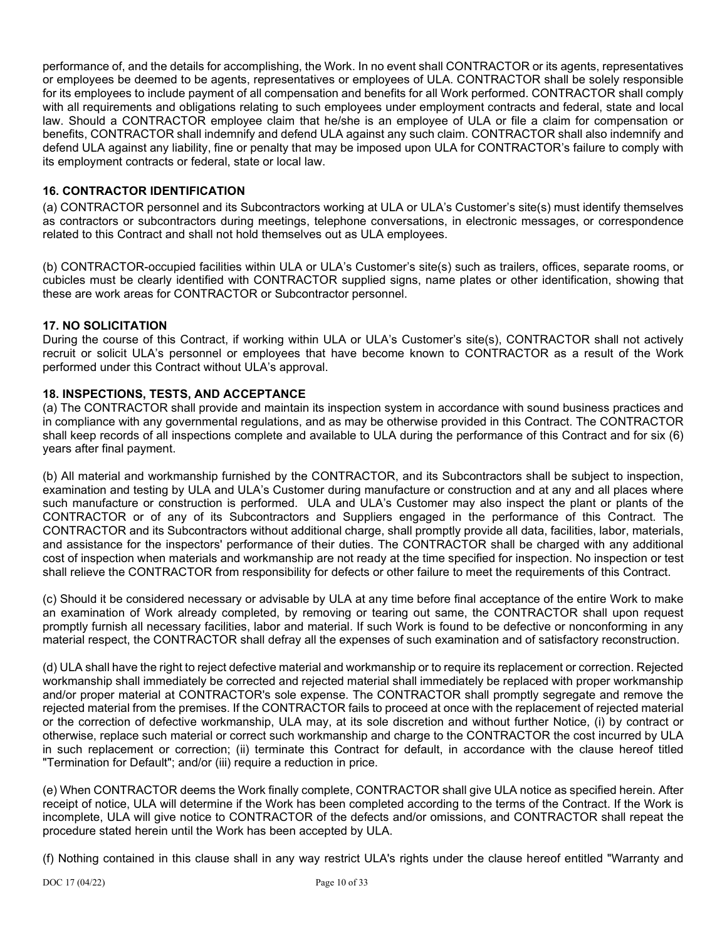performance of, and the details for accomplishing, the Work. In no event shall CONTRACTOR or its agents, representatives or employees be deemed to be agents, representatives or employees of ULA. CONTRACTOR shall be solely responsible for its employees to include payment of all compensation and benefits for all Work performed. CONTRACTOR shall comply with all requirements and obligations relating to such employees under employment contracts and federal, state and local law. Should a CONTRACTOR employee claim that he/she is an employee of ULA or file a claim for compensation or benefits, CONTRACTOR shall indemnify and defend ULA against any such claim. CONTRACTOR shall also indemnify and defend ULA against any liability, fine or penalty that may be imposed upon ULA for CONTRACTOR's failure to comply with its employment contracts or federal, state or local law.

## **16. CONTRACTOR IDENTIFICATION**

(a) CONTRACTOR personnel and its Subcontractors working at ULA or ULA's Customer's site(s) must identify themselves as contractors or subcontractors during meetings, telephone conversations, in electronic messages, or correspondence related to this Contract and shall not hold themselves out as ULA employees.

(b) CONTRACTOR-occupied facilities within ULA or ULA's Customer's site(s) such as trailers, offices, separate rooms, or cubicles must be clearly identified with CONTRACTOR supplied signs, name plates or other identification, showing that these are work areas for CONTRACTOR or Subcontractor personnel.

## **17. NO SOLICITATION**

During the course of this Contract, if working within ULA or ULA's Customer's site(s), CONTRACTOR shall not actively recruit or solicit ULA's personnel or employees that have become known to CONTRACTOR as a result of the Work performed under this Contract without ULA's approval.

## **18. INSPECTIONS, TESTS, AND ACCEPTANCE**

(a) The CONTRACTOR shall provide and maintain its inspection system in accordance with sound business practices and in compliance with any governmental regulations, and as may be otherwise provided in this Contract. The CONTRACTOR shall keep records of all inspections complete and available to ULA during the performance of this Contract and for six (6) years after final payment.

(b) All material and workmanship furnished by the CONTRACTOR, and its Subcontractors shall be subject to inspection, examination and testing by ULA and ULA's Customer during manufacture or construction and at any and all places where such manufacture or construction is performed. ULA and ULA's Customer may also inspect the plant or plants of the CONTRACTOR or of any of its Subcontractors and Suppliers engaged in the performance of this Contract. The CONTRACTOR and its Subcontractors without additional charge, shall promptly provide all data, facilities, labor, materials, and assistance for the inspectors' performance of their duties. The CONTRACTOR shall be charged with any additional cost of inspection when materials and workmanship are not ready at the time specified for inspection. No inspection or test shall relieve the CONTRACTOR from responsibility for defects or other failure to meet the requirements of this Contract.

(c) Should it be considered necessary or advisable by ULA at any time before final acceptance of the entire Work to make an examination of Work already completed, by removing or tearing out same, the CONTRACTOR shall upon request promptly furnish all necessary facilities, labor and material. If such Work is found to be defective or nonconforming in any material respect, the CONTRACTOR shall defray all the expenses of such examination and of satisfactory reconstruction.

(d) ULA shall have the right to reject defective material and workmanship or to require its replacement or correction. Rejected workmanship shall immediately be corrected and rejected material shall immediately be replaced with proper workmanship and/or proper material at CONTRACTOR's sole expense. The CONTRACTOR shall promptly segregate and remove the rejected material from the premises. If the CONTRACTOR fails to proceed at once with the replacement of rejected material or the correction of defective workmanship, ULA may, at its sole discretion and without further Notice, (i) by contract or otherwise, replace such material or correct such workmanship and charge to the CONTRACTOR the cost incurred by ULA in such replacement or correction; (ii) terminate this Contract for default, in accordance with the clause hereof titled "Termination for Default"; and/or (iii) require a reduction in price.

(e) When CONTRACTOR deems the Work finally complete, CONTRACTOR shall give ULA notice as specified herein. After receipt of notice, ULA will determine if the Work has been completed according to the terms of the Contract. If the Work is incomplete, ULA will give notice to CONTRACTOR of the defects and/or omissions, and CONTRACTOR shall repeat the procedure stated herein until the Work has been accepted by ULA.

(f) Nothing contained in this clause shall in any way restrict ULA's rights under the clause hereof entitled "Warranty and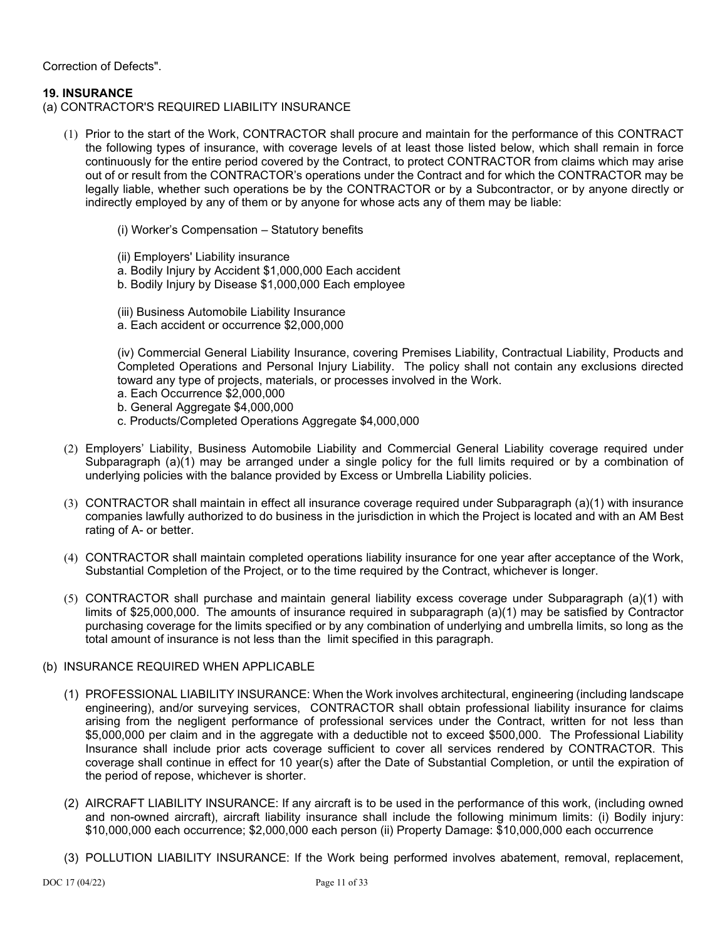Correction of Defects".

### **19. INSURANCE**

- (a) CONTRACTOR'S REQUIRED LIABILITY INSURANCE
	- (1) Prior to the start of the Work, CONTRACTOR shall procure and maintain for the performance of this CONTRACT the following types of insurance, with coverage levels of at least those listed below, which shall remain in force continuously for the entire period covered by the Contract, to protect CONTRACTOR from claims which may arise out of or result from the CONTRACTOR's operations under the Contract and for which the CONTRACTOR may be legally liable, whether such operations be by the CONTRACTOR or by a Subcontractor, or by anyone directly or indirectly employed by any of them or by anyone for whose acts any of them may be liable:
		- (i) Worker's Compensation Statutory benefits
		- (ii) Employers' Liability insurance
		- a. Bodily Injury by Accident \$1,000,000 Each accident
		- b. Bodily Injury by Disease \$1,000,000 Each employee
		- (iii) Business Automobile Liability Insurance a. Each accident or occurrence \$2,000,000

(iv) Commercial General Liability Insurance, covering Premises Liability, Contractual Liability, Products and Completed Operations and Personal Injury Liability. The policy shall not contain any exclusions directed toward any type of projects, materials, or processes involved in the Work.

- a. Each Occurrence \$2,000,000
- b. General Aggregate \$4,000,000
- c. Products/Completed Operations Aggregate \$4,000,000
- (2) Employers' Liability, Business Automobile Liability and Commercial General Liability coverage required under Subparagraph (a)(1) may be arranged under a single policy for the full limits required or by a combination of underlying policies with the balance provided by Excess or Umbrella Liability policies.
- (3) CONTRACTOR shall maintain in effect all insurance coverage required under Subparagraph (a)(1) with insurance companies lawfully authorized to do business in the jurisdiction in which the Project is located and with an AM Best rating of A- or better.
- (4) CONTRACTOR shall maintain completed operations liability insurance for one year after acceptance of the Work, Substantial Completion of the Project, or to the time required by the Contract, whichever is longer.
- (5) CONTRACTOR shall purchase and maintain general liability excess coverage under Subparagraph (a)(1) with limits of \$25,000,000. The amounts of insurance required in subparagraph (a)(1) may be satisfied by Contractor purchasing coverage for the limits specified or by any combination of underlying and umbrella limits, so long as the total amount of insurance is not less than the limit specified in this paragraph.

## (b) INSURANCE REQUIRED WHEN APPLICABLE

- (1) PROFESSIONAL LIABILITY INSURANCE: When the Work involves architectural, engineering (including landscape engineering), and/or surveying services, CONTRACTOR shall obtain professional liability insurance for claims arising from the negligent performance of professional services under the Contract, written for not less than \$5,000,000 per claim and in the aggregate with a deductible not to exceed \$500,000. The Professional Liability Insurance shall include prior acts coverage sufficient to cover all services rendered by CONTRACTOR. This coverage shall continue in effect for 10 year(s) after the Date of Substantial Completion, or until the expiration of the period of repose, whichever is shorter.
- (2) AIRCRAFT LIABILITY INSURANCE: If any aircraft is to be used in the performance of this work, (including owned and non-owned aircraft), aircraft liability insurance shall include the following minimum limits: (i) Bodily injury: \$10,000,000 each occurrence; \$2,000,000 each person (ii) Property Damage: \$10,000,000 each occurrence
- (3) POLLUTION LIABILITY INSURANCE: If the Work being performed involves abatement, removal, replacement,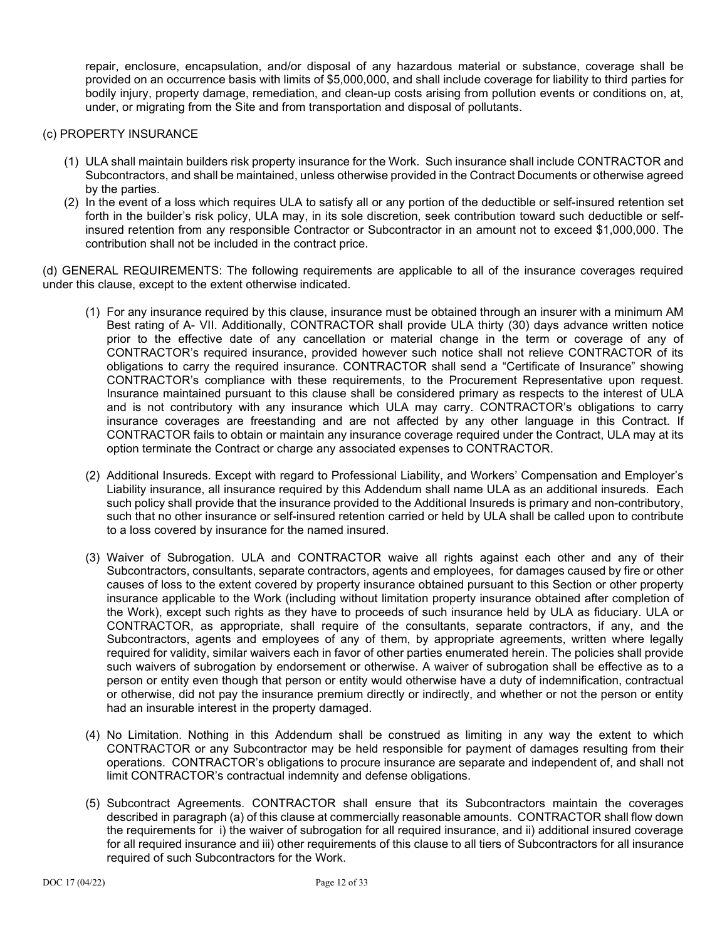repair, enclosure, encapsulation, and/or disposal of any hazardous material or substance, coverage shall be provided on an occurrence basis with limits of \$5,000,000, and shall include coverage for liability to third parties for bodily injury, property damage, remediation, and clean-up costs arising from pollution events or conditions on, at, under, or migrating from the Site and from transportation and disposal of pollutants.

### (c) PROPERTY INSURANCE

- (1) ULA shall maintain builders risk property insurance for the Work. Such insurance shall include CONTRACTOR and Subcontractors, and shall be maintained, unless otherwise provided in the Contract Documents or otherwise agreed by the parties.
- (2) In the event of a loss which requires ULA to satisfy all or any portion of the deductible or self-insured retention set forth in the builder's risk policy, ULA may, in its sole discretion, seek contribution toward such deductible or selfinsured retention from any responsible Contractor or Subcontractor in an amount not to exceed \$1,000,000. The contribution shall not be included in the contract price.

(d) GENERAL REQUIREMENTS: The following requirements are applicable to all of the insurance coverages required under this clause, except to the extent otherwise indicated.

- (1) For any insurance required by this clause, insurance must be obtained through an insurer with a minimum AM Best rating of A- VII. Additionally, CONTRACTOR shall provide ULA thirty (30) days advance written notice prior to the effective date of any cancellation or material change in the term or coverage of any of CONTRACTOR's required insurance, provided however such notice shall not relieve CONTRACTOR of its obligations to carry the required insurance. CONTRACTOR shall send a "Certificate of Insurance" showing CONTRACTOR's compliance with these requirements, to the Procurement Representative upon request. Insurance maintained pursuant to this clause shall be considered primary as respects to the interest of ULA and is not contributory with any insurance which ULA may carry. CONTRACTOR's obligations to carry insurance coverages are freestanding and are not affected by any other language in this Contract. If CONTRACTOR fails to obtain or maintain any insurance coverage required under the Contract, ULA may at its option terminate the Contract or charge any associated expenses to CONTRACTOR.
- (2) Additional Insureds. Except with regard to Professional Liability, and Workers' Compensation and Employer's Liability insurance, all insurance required by this Addendum shall name ULA as an additional insureds. Each such policy shall provide that the insurance provided to the Additional Insureds is primary and non-contributory, such that no other insurance or self-insured retention carried or held by ULA shall be called upon to contribute to a loss covered by insurance for the named insured.
- (3) Waiver of Subrogation. ULA and CONTRACTOR waive all rights against each other and any of their Subcontractors, consultants, separate contractors, agents and employees, for damages caused by fire or other causes of loss to the extent covered by property insurance obtained pursuant to this Section or other property insurance applicable to the Work (including without limitation property insurance obtained after completion of the Work), except such rights as they have to proceeds of such insurance held by ULA as fiduciary. ULA or CONTRACTOR, as appropriate, shall require of the consultants, separate contractors, if any, and the Subcontractors, agents and employees of any of them, by appropriate agreements, written where legally required for validity, similar waivers each in favor of other parties enumerated herein. The policies shall provide such waivers of subrogation by endorsement or otherwise. A waiver of subrogation shall be effective as to a person or entity even though that person or entity would otherwise have a duty of indemnification, contractual or otherwise, did not pay the insurance premium directly or indirectly, and whether or not the person or entity had an insurable interest in the property damaged.
- (4) No Limitation. Nothing in this Addendum shall be construed as limiting in any way the extent to which CONTRACTOR or any Subcontractor may be held responsible for payment of damages resulting from their operations. CONTRACTOR's obligations to procure insurance are separate and independent of, and shall not limit CONTRACTOR's contractual indemnity and defense obligations.
- (5) Subcontract Agreements. CONTRACTOR shall ensure that its Subcontractors maintain the coverages described in paragraph (a) of this clause at commercially reasonable amounts. CONTRACTOR shall flow down the requirements for i) the waiver of subrogation for all required insurance, and ii) additional insured coverage for all required insurance and iii) other requirements of this clause to all tiers of Subcontractors for all insurance required of such Subcontractors for the Work.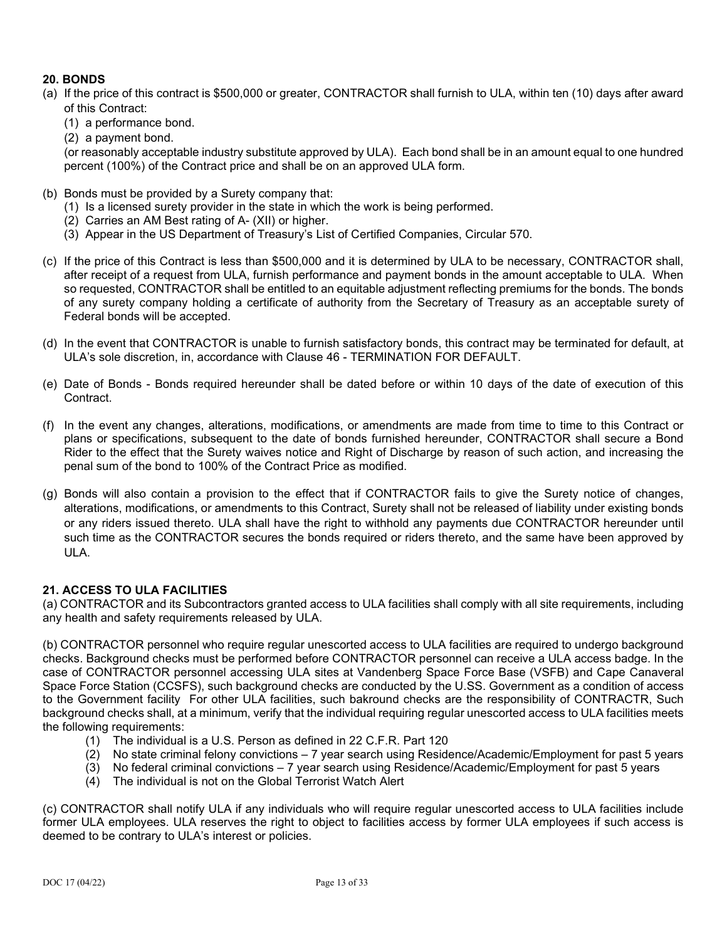# **20. BONDS**

- (a) If the price of this contract is \$500,000 or greater, CONTRACTOR shall furnish to ULA, within ten (10) days after award of this Contract:
	- (1) a performance bond.
	- (2) a payment bond.

(or reasonably acceptable industry substitute approved by ULA). Each bond shall be in an amount equal to one hundred percent (100%) of the Contract price and shall be on an approved ULA form.

- (b) Bonds must be provided by a Surety company that:
	- (1) Is a licensed surety provider in the state in which the work is being performed.
	- (2) Carries an AM Best rating of A- (XII) or higher.
	- (3) Appear in the US Department of Treasury's List of Certified Companies, Circular 570.
- (c) If the price of this Contract is less than \$500,000 and it is determined by ULA to be necessary, CONTRACTOR shall, after receipt of a request from ULA, furnish performance and payment bonds in the amount acceptable to ULA. When so requested, CONTRACTOR shall be entitled to an equitable adjustment reflecting premiums for the bonds. The bonds of any surety company holding a certificate of authority from the Secretary of Treasury as an acceptable surety of Federal bonds will be accepted.
- (d) In the event that CONTRACTOR is unable to furnish satisfactory bonds, this contract may be terminated for default, at ULA's sole discretion, in, accordance with Clause 46 - TERMINATION FOR DEFAULT.
- (e) Date of Bonds Bonds required hereunder shall be dated before or within 10 days of the date of execution of this Contract.
- (f) In the event any changes, alterations, modifications, or amendments are made from time to time to this Contract or plans or specifications, subsequent to the date of bonds furnished hereunder, CONTRACTOR shall secure a Bond Rider to the effect that the Surety waives notice and Right of Discharge by reason of such action, and increasing the penal sum of the bond to 100% of the Contract Price as modified.
- (g) Bonds will also contain a provision to the effect that if CONTRACTOR fails to give the Surety notice of changes, alterations, modifications, or amendments to this Contract, Surety shall not be released of liability under existing bonds or any riders issued thereto. ULA shall have the right to withhold any payments due CONTRACTOR hereunder until such time as the CONTRACTOR secures the bonds required or riders thereto, and the same have been approved by  $UIA$

## **21. ACCESS TO ULA FACILITIES**

(a) CONTRACTOR and its Subcontractors granted access to ULA facilities shall comply with all site requirements, including any health and safety requirements released by ULA.

(b) CONTRACTOR personnel who require regular unescorted access to ULA facilities are required to undergo background checks. Background checks must be performed before CONTRACTOR personnel can receive a ULA access badge. In the case of CONTRACTOR personnel accessing ULA sites at Vandenberg Space Force Base (VSFB) and Cape Canaveral Space Force Station (CCSFS), such background checks are conducted by the U.SS. Government as a condition of access to the Government facility For other ULA facilities, such bakround checks are the responsibility of CONTRACTR, Such background checks shall, at a minimum, verify that the individual requiring regular unescorted access to ULA facilities meets the following requirements:

- (1) The individual is a U.S. Person as defined in 22 C.F.R. Part 120
- (2) No state criminal felony convictions 7 year search using Residence/Academic/Employment for past 5 years
- (3) No federal criminal convictions 7 year search using Residence/Academic/Employment for past 5 years
- (4) The individual is not on the Global Terrorist Watch Alert

(c) CONTRACTOR shall notify ULA if any individuals who will require regular unescorted access to ULA facilities include former ULA employees. ULA reserves the right to object to facilities access by former ULA employees if such access is deemed to be contrary to ULA's interest or policies.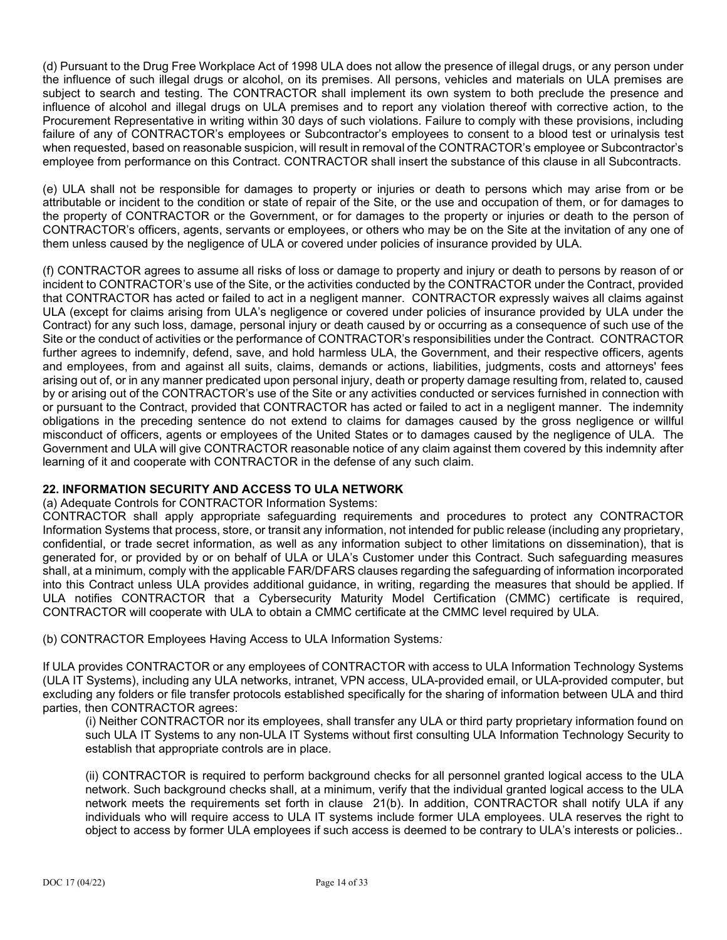(d) Pursuant to the Drug Free Workplace Act of 1998 ULA does not allow the presence of illegal drugs, or any person under the influence of such illegal drugs or alcohol, on its premises. All persons, vehicles and materials on ULA premises are subject to search and testing. The CONTRACTOR shall implement its own system to both preclude the presence and influence of alcohol and illegal drugs on ULA premises and to report any violation thereof with corrective action, to the Procurement Representative in writing within 30 days of such violations. Failure to comply with these provisions, including failure of any of CONTRACTOR's employees or Subcontractor's employees to consent to a blood test or urinalysis test when requested, based on reasonable suspicion, will result in removal of the CONTRACTOR's employee or Subcontractor's employee from performance on this Contract. CONTRACTOR shall insert the substance of this clause in all Subcontracts.

(e) ULA shall not be responsible for damages to property or injuries or death to persons which may arise from or be attributable or incident to the condition or state of repair of the Site, or the use and occupation of them, or for damages to the property of CONTRACTOR or the Government, or for damages to the property or injuries or death to the person of CONTRACTOR's officers, agents, servants or employees, or others who may be on the Site at the invitation of any one of them unless caused by the negligence of ULA or covered under policies of insurance provided by ULA.

(f) CONTRACTOR agrees to assume all risks of loss or damage to property and injury or death to persons by reason of or incident to CONTRACTOR's use of the Site, or the activities conducted by the CONTRACTOR under the Contract, provided that CONTRACTOR has acted or failed to act in a negligent manner. CONTRACTOR expressly waives all claims against ULA (except for claims arising from ULA's negligence or covered under policies of insurance provided by ULA under the Contract) for any such loss, damage, personal injury or death caused by or occurring as a consequence of such use of the Site or the conduct of activities or the performance of CONTRACTOR's responsibilities under the Contract. CONTRACTOR further agrees to indemnify, defend, save, and hold harmless ULA, the Government, and their respective officers, agents and employees, from and against all suits, claims, demands or actions, liabilities, judgments, costs and attorneys' fees arising out of, or in any manner predicated upon personal injury, death or property damage resulting from, related to, caused by or arising out of the CONTRACTOR's use of the Site or any activities conducted or services furnished in connection with or pursuant to the Contract, provided that CONTRACTOR has acted or failed to act in a negligent manner. The indemnity obligations in the preceding sentence do not extend to claims for damages caused by the gross negligence or willful misconduct of officers, agents or employees of the United States or to damages caused by the negligence of ULA. The Government and ULA will give CONTRACTOR reasonable notice of any claim against them covered by this indemnity after learning of it and cooperate with CONTRACTOR in the defense of any such claim.

## **22. INFORMATION SECURITY AND ACCESS TO ULA NETWORK**

(a) Adequate Controls for CONTRACTOR Information Systems:

CONTRACTOR shall apply appropriate safeguarding requirements and procedures to protect any CONTRACTOR Information Systems that process, store, or transit any information, not intended for public release (including any proprietary, confidential, or trade secret information, as well as any information subject to other limitations on dissemination), that is generated for, or provided by or on behalf of ULA or ULA's Customer under this Contract. Such safeguarding measures shall, at a minimum, comply with the applicable FAR/DFARS clauses regarding the safeguarding of information incorporated into this Contract unless ULA provides additional guidance, in writing, regarding the measures that should be applied. If ULA notifies CONTRACTOR that a Cybersecurity Maturity Model Certification (CMMC) certificate is required, CONTRACTOR will cooperate with ULA to obtain a CMMC certificate at the CMMC level required by ULA.

(b) CONTRACTOR Employees Having Access to ULA Information Systems*:*

If ULA provides CONTRACTOR or any employees of CONTRACTOR with access to ULA Information Technology Systems (ULA IT Systems), including any ULA networks, intranet, VPN access, ULA-provided email, or ULA-provided computer, but excluding any folders or file transfer protocols established specifically for the sharing of information between ULA and third parties, then CONTRACTOR agrees:

(i) Neither CONTRACTOR nor its employees, shall transfer any ULA or third party proprietary information found on such ULA IT Systems to any non-ULA IT Systems without first consulting ULA Information Technology Security to establish that appropriate controls are in place.

(ii) CONTRACTOR is required to perform background checks for all personnel granted logical access to the ULA network. Such background checks shall, at a minimum, verify that the individual granted logical access to the ULA network meets the requirements set forth in clause 21(b). In addition, CONTRACTOR shall notify ULA if any individuals who will require access to ULA IT systems include former ULA employees. ULA reserves the right to object to access by former ULA employees if such access is deemed to be contrary to ULA's interests or policies..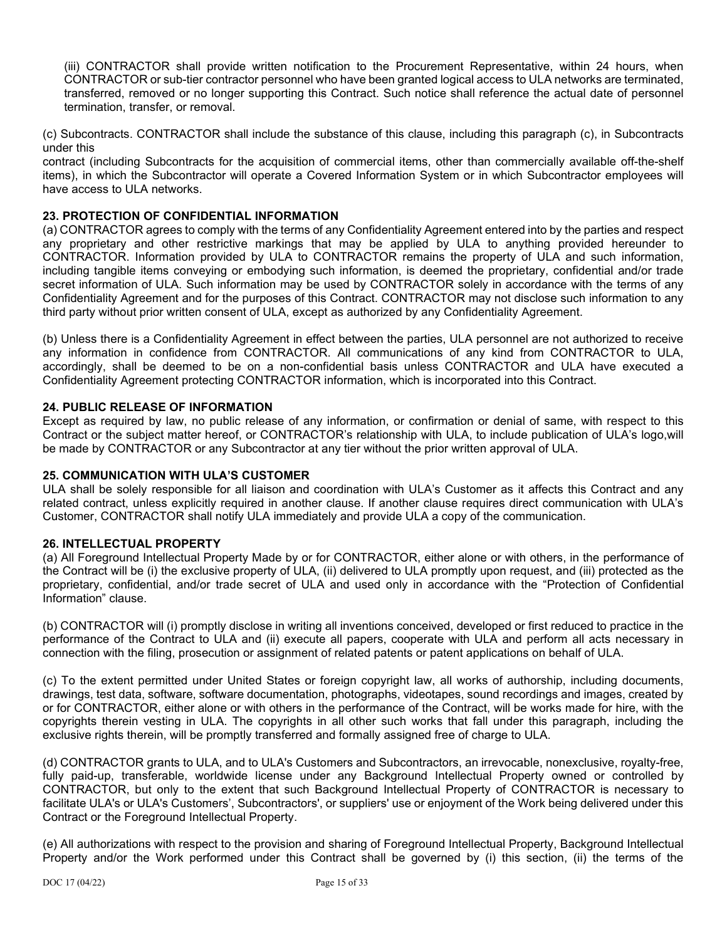(iii) CONTRACTOR shall provide written notification to the Procurement Representative, within 24 hours, when CONTRACTOR or sub-tier contractor personnel who have been granted logical access to ULA networks are terminated, transferred, removed or no longer supporting this Contract. Such notice shall reference the actual date of personnel termination, transfer, or removal.

(c) Subcontracts. CONTRACTOR shall include the substance of this clause, including this paragraph (c), in Subcontracts under this

contract (including Subcontracts for the acquisition of commercial items, other than commercially available off-the-shelf items), in which the Subcontractor will operate a Covered Information System or in which Subcontractor employees will have access to ULA networks.

## **23. PROTECTION OF CONFIDENTIAL INFORMATION**

(a) CONTRACTOR agrees to comply with the terms of any Confidentiality Agreement entered into by the parties and respect any proprietary and other restrictive markings that may be applied by ULA to anything provided hereunder to CONTRACTOR. Information provided by ULA to CONTRACTOR remains the property of ULA and such information, including tangible items conveying or embodying such information, is deemed the proprietary, confidential and/or trade secret information of ULA. Such information may be used by CONTRACTOR solely in accordance with the terms of any Confidentiality Agreement and for the purposes of this Contract. CONTRACTOR may not disclose such information to any third party without prior written consent of ULA, except as authorized by any Confidentiality Agreement.

(b) Unless there is a Confidentiality Agreement in effect between the parties, ULA personnel are not authorized to receive any information in confidence from CONTRACTOR. All communications of any kind from CONTRACTOR to ULA, accordingly, shall be deemed to be on a non-confidential basis unless CONTRACTOR and ULA have executed a Confidentiality Agreement protecting CONTRACTOR information, which is incorporated into this Contract.

### **24. PUBLIC RELEASE OF INFORMATION**

Except as required by law, no public release of any information, or confirmation or denial of same, with respect to this Contract or the subject matter hereof, or CONTRACTOR's relationship with ULA, to include publication of ULA's logo,will be made by CONTRACTOR or any Subcontractor at any tier without the prior written approval of ULA.

### **25. COMMUNICATION WITH ULA'S CUSTOMER**

ULA shall be solely responsible for all liaison and coordination with ULA's Customer as it affects this Contract and any related contract, unless explicitly required in another clause. If another clause requires direct communication with ULA's Customer, CONTRACTOR shall notify ULA immediately and provide ULA a copy of the communication.

#### **26. INTELLECTUAL PROPERTY**

(a) All Foreground Intellectual Property Made by or for CONTRACTOR, either alone or with others, in the performance of the Contract will be (i) the exclusive property of ULA, (ii) delivered to ULA promptly upon request, and (iii) protected as the proprietary, confidential, and/or trade secret of ULA and used only in accordance with the "Protection of Confidential Information" clause.

(b) CONTRACTOR will (i) promptly disclose in writing all inventions conceived, developed or first reduced to practice in the performance of the Contract to ULA and (ii) execute all papers, cooperate with ULA and perform all acts necessary in connection with the filing, prosecution or assignment of related patents or patent applications on behalf of ULA.

(c) To the extent permitted under United States or foreign copyright law, all works of authorship, including documents, drawings, test data, software, software documentation, photographs, videotapes, sound recordings and images, created by or for CONTRACTOR, either alone or with others in the performance of the Contract, will be works made for hire, with the copyrights therein vesting in ULA. The copyrights in all other such works that fall under this paragraph, including the exclusive rights therein, will be promptly transferred and formally assigned free of charge to ULA.

(d) CONTRACTOR grants to ULA, and to ULA's Customers and Subcontractors, an irrevocable, nonexclusive, royalty-free, fully paid-up, transferable, worldwide license under any Background Intellectual Property owned or controlled by CONTRACTOR, but only to the extent that such Background Intellectual Property of CONTRACTOR is necessary to facilitate ULA's or ULA's Customers', Subcontractors', or suppliers' use or enjoyment of the Work being delivered under this Contract or the Foreground Intellectual Property.

(e) All authorizations with respect to the provision and sharing of Foreground Intellectual Property, Background Intellectual Property and/or the Work performed under this Contract shall be governed by (i) this section, (ii) the terms of the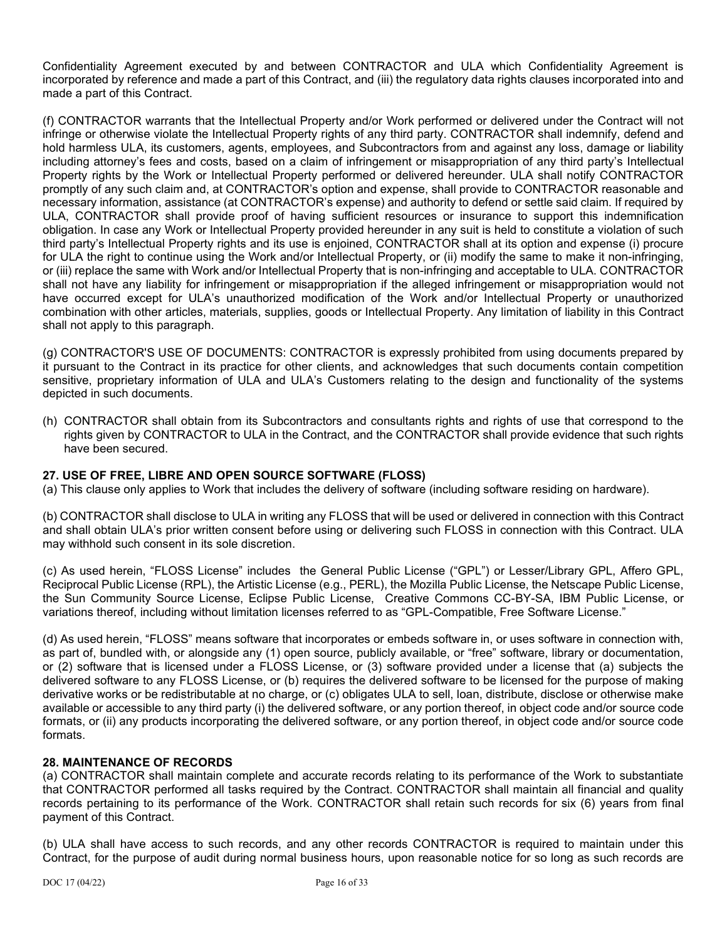Confidentiality Agreement executed by and between CONTRACTOR and ULA which Confidentiality Agreement is incorporated by reference and made a part of this Contract, and (iii) the regulatory data rights clauses incorporated into and made a part of this Contract.

(f) CONTRACTOR warrants that the Intellectual Property and/or Work performed or delivered under the Contract will not infringe or otherwise violate the Intellectual Property rights of any third party. CONTRACTOR shall indemnify, defend and hold harmless ULA, its customers, agents, employees, and Subcontractors from and against any loss, damage or liability including attorney's fees and costs, based on a claim of infringement or misappropriation of any third party's Intellectual Property rights by the Work or Intellectual Property performed or delivered hereunder. ULA shall notify CONTRACTOR promptly of any such claim and, at CONTRACTOR's option and expense, shall provide to CONTRACTOR reasonable and necessary information, assistance (at CONTRACTOR's expense) and authority to defend or settle said claim. If required by ULA, CONTRACTOR shall provide proof of having sufficient resources or insurance to support this indemnification obligation. In case any Work or Intellectual Property provided hereunder in any suit is held to constitute a violation of such third party's Intellectual Property rights and its use is enjoined, CONTRACTOR shall at its option and expense (i) procure for ULA the right to continue using the Work and/or Intellectual Property, or (ii) modify the same to make it non-infringing, or (iii) replace the same with Work and/or Intellectual Property that is non-infringing and acceptable to ULA. CONTRACTOR shall not have any liability for infringement or misappropriation if the alleged infringement or misappropriation would not have occurred except for ULA's unauthorized modification of the Work and/or Intellectual Property or unauthorized combination with other articles, materials, supplies, goods or Intellectual Property. Any limitation of liability in this Contract shall not apply to this paragraph.

(g) CONTRACTOR'S USE OF DOCUMENTS: CONTRACTOR is expressly prohibited from using documents prepared by it pursuant to the Contract in its practice for other clients, and acknowledges that such documents contain competition sensitive, proprietary information of ULA and ULA's Customers relating to the design and functionality of the systems depicted in such documents.

(h) CONTRACTOR shall obtain from its Subcontractors and consultants rights and rights of use that correspond to the rights given by CONTRACTOR to ULA in the Contract, and the CONTRACTOR shall provide evidence that such rights have been secured.

## **27. USE OF FREE, LIBRE AND OPEN SOURCE SOFTWARE (FLOSS)**

(a) This clause only applies to Work that includes the delivery of software (including software residing on hardware).

(b) CONTRACTOR shall disclose to ULA in writing any FLOSS that will be used or delivered in connection with this Contract and shall obtain ULA's prior written consent before using or delivering such FLOSS in connection with this Contract. ULA may withhold such consent in its sole discretion.

(c) As used herein, "FLOSS License" includes the General Public License ("GPL") or Lesser/Library GPL, Affero GPL, Reciprocal Public License (RPL), the Artistic License (e.g., PERL), the Mozilla Public License, the Netscape Public License, the Sun Community Source License, Eclipse Public License, Creative Commons CC-BY-SA, IBM Public License, or variations thereof, including without limitation licenses referred to as "GPL-Compatible, Free Software License."

(d) As used herein, "FLOSS" means software that incorporates or embeds software in, or uses software in connection with, as part of, bundled with, or alongside any (1) open source, publicly available, or "free" software, library or documentation, or (2) software that is licensed under a FLOSS License, or (3) software provided under a license that (a) subjects the delivered software to any FLOSS License, or (b) requires the delivered software to be licensed for the purpose of making derivative works or be redistributable at no charge, or (c) obligates ULA to sell, loan, distribute, disclose or otherwise make available or accessible to any third party (i) the delivered software, or any portion thereof, in object code and/or source code formats, or (ii) any products incorporating the delivered software, or any portion thereof, in object code and/or source code formats.

#### **28. MAINTENANCE OF RECORDS**

(a) CONTRACTOR shall maintain complete and accurate records relating to its performance of the Work to substantiate that CONTRACTOR performed all tasks required by the Contract. CONTRACTOR shall maintain all financial and quality records pertaining to its performance of the Work. CONTRACTOR shall retain such records for six (6) years from final payment of this Contract.

(b) ULA shall have access to such records, and any other records CONTRACTOR is required to maintain under this Contract, for the purpose of audit during normal business hours, upon reasonable notice for so long as such records are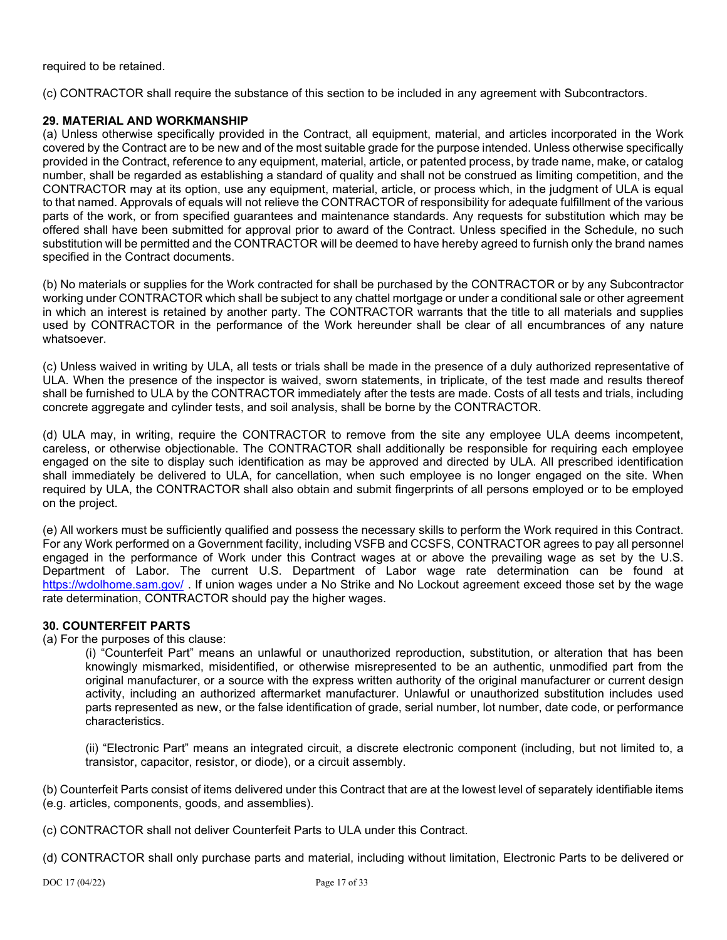required to be retained.

(c) CONTRACTOR shall require the substance of this section to be included in any agreement with Subcontractors.

### **29. MATERIAL AND WORKMANSHIP**

(a) Unless otherwise specifically provided in the Contract, all equipment, material, and articles incorporated in the Work covered by the Contract are to be new and of the most suitable grade for the purpose intended. Unless otherwise specifically provided in the Contract, reference to any equipment, material, article, or patented process, by trade name, make, or catalog number, shall be regarded as establishing a standard of quality and shall not be construed as limiting competition, and the CONTRACTOR may at its option, use any equipment, material, article, or process which, in the judgment of ULA is equal to that named. Approvals of equals will not relieve the CONTRACTOR of responsibility for adequate fulfillment of the various parts of the work, or from specified guarantees and maintenance standards. Any requests for substitution which may be offered shall have been submitted for approval prior to award of the Contract. Unless specified in the Schedule, no such substitution will be permitted and the CONTRACTOR will be deemed to have hereby agreed to furnish only the brand names specified in the Contract documents.

(b) No materials or supplies for the Work contracted for shall be purchased by the CONTRACTOR or by any Subcontractor working under CONTRACTOR which shall be subject to any chattel mortgage or under a conditional sale or other agreement in which an interest is retained by another party. The CONTRACTOR warrants that the title to all materials and supplies used by CONTRACTOR in the performance of the Work hereunder shall be clear of all encumbrances of any nature whatsoever.

(c) Unless waived in writing by ULA, all tests or trials shall be made in the presence of a duly authorized representative of ULA. When the presence of the inspector is waived, sworn statements, in triplicate, of the test made and results thereof shall be furnished to ULA by the CONTRACTOR immediately after the tests are made. Costs of all tests and trials, including concrete aggregate and cylinder tests, and soil analysis, shall be borne by the CONTRACTOR.

(d) ULA may, in writing, require the CONTRACTOR to remove from the site any employee ULA deems incompetent, careless, or otherwise objectionable. The CONTRACTOR shall additionally be responsible for requiring each employee engaged on the site to display such identification as may be approved and directed by ULA. All prescribed identification shall immediately be delivered to ULA, for cancellation, when such employee is no longer engaged on the site. When required by ULA, the CONTRACTOR shall also obtain and submit fingerprints of all persons employed or to be employed on the project.

(e) All workers must be sufficiently qualified and possess the necessary skills to perform the Work required in this Contract. For any Work performed on a Government facility, including VSFB and CCSFS, CONTRACTOR agrees to pay all personnel engaged in the performance of Work under this Contract wages at or above the prevailing wage as set by the U.S. Department of Labor. The current U.S. Department of Labor wage rate determination can be found at <https://wdolhome.sam.gov/> . If union wages under a No Strike and No Lockout agreement exceed those set by the wage rate determination, CONTRACTOR should pay the higher wages.

#### **30. COUNTERFEIT PARTS**

(a) For the purposes of this clause:

(i) "Counterfeit Part" means an unlawful or unauthorized reproduction, substitution, or alteration that has been knowingly mismarked, misidentified, or otherwise misrepresented to be an authentic, unmodified part from the original manufacturer, or a source with the express written authority of the original manufacturer or current design activity, including an authorized aftermarket manufacturer. Unlawful or unauthorized substitution includes used parts represented as new, or the false identification of grade, serial number, lot number, date code, or performance characteristics.

(ii) "Electronic Part" means an integrated circuit, a discrete electronic component (including, but not limited to, a transistor, capacitor, resistor, or diode), or a circuit assembly.

(b) Counterfeit Parts consist of items delivered under this Contract that are at the lowest level of separately identifiable items (e.g. articles, components, goods, and assemblies).

(c) CONTRACTOR shall not deliver Counterfeit Parts to ULA under this Contract.

(d) CONTRACTOR shall only purchase parts and material, including without limitation, Electronic Parts to be delivered or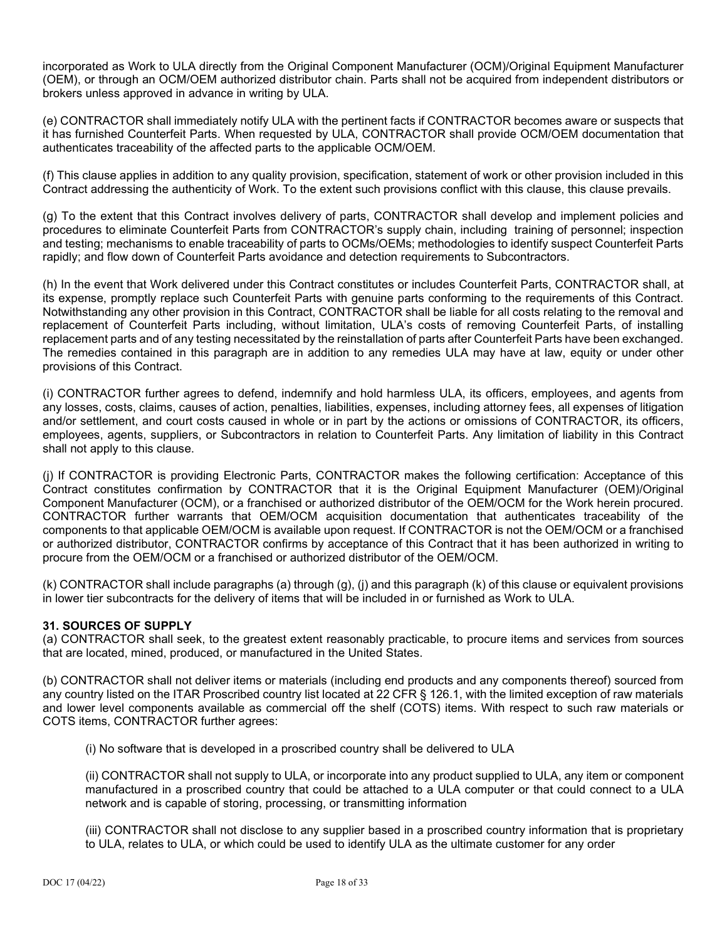incorporated as Work to ULA directly from the Original Component Manufacturer (OCM)/Original Equipment Manufacturer (OEM), or through an OCM/OEM authorized distributor chain. Parts shall not be acquired from independent distributors or brokers unless approved in advance in writing by ULA.

(e) CONTRACTOR shall immediately notify ULA with the pertinent facts if CONTRACTOR becomes aware or suspects that it has furnished Counterfeit Parts. When requested by ULA, CONTRACTOR shall provide OCM/OEM documentation that authenticates traceability of the affected parts to the applicable OCM/OEM.

(f) This clause applies in addition to any quality provision, specification, statement of work or other provision included in this Contract addressing the authenticity of Work. To the extent such provisions conflict with this clause, this clause prevails.

(g) To the extent that this Contract involves delivery of parts, CONTRACTOR shall develop and implement policies and procedures to eliminate Counterfeit Parts from CONTRACTOR's supply chain, including training of personnel; inspection and testing; mechanisms to enable traceability of parts to OCMs/OEMs; methodologies to identify suspect Counterfeit Parts rapidly; and flow down of Counterfeit Parts avoidance and detection requirements to Subcontractors.

(h) In the event that Work delivered under this Contract constitutes or includes Counterfeit Parts, CONTRACTOR shall, at its expense, promptly replace such Counterfeit Parts with genuine parts conforming to the requirements of this Contract. Notwithstanding any other provision in this Contract, CONTRACTOR shall be liable for all costs relating to the removal and replacement of Counterfeit Parts including, without limitation, ULA's costs of removing Counterfeit Parts, of installing replacement parts and of any testing necessitated by the reinstallation of parts after Counterfeit Parts have been exchanged. The remedies contained in this paragraph are in addition to any remedies ULA may have at law, equity or under other provisions of this Contract.

(i) CONTRACTOR further agrees to defend, indemnify and hold harmless ULA, its officers, employees, and agents from any losses, costs, claims, causes of action, penalties, liabilities, expenses, including attorney fees, all expenses of litigation and/or settlement, and court costs caused in whole or in part by the actions or omissions of CONTRACTOR, its officers, employees, agents, suppliers, or Subcontractors in relation to Counterfeit Parts. Any limitation of liability in this Contract shall not apply to this clause.

(j) If CONTRACTOR is providing Electronic Parts, CONTRACTOR makes the following certification: Acceptance of this Contract constitutes confirmation by CONTRACTOR that it is the Original Equipment Manufacturer (OEM)/Original Component Manufacturer (OCM), or a franchised or authorized distributor of the OEM/OCM for the Work herein procured. CONTRACTOR further warrants that OEM/OCM acquisition documentation that authenticates traceability of the components to that applicable OEM/OCM is available upon request. If CONTRACTOR is not the OEM/OCM or a franchised or authorized distributor, CONTRACTOR confirms by acceptance of this Contract that it has been authorized in writing to procure from the OEM/OCM or a franchised or authorized distributor of the OEM/OCM.

(k) CONTRACTOR shall include paragraphs (a) through (g), (j) and this paragraph (k) of this clause or equivalent provisions in lower tier subcontracts for the delivery of items that will be included in or furnished as Work to ULA.

## **31. SOURCES OF SUPPLY**

(a) CONTRACTOR shall seek, to the greatest extent reasonably practicable, to procure items and services from sources that are located, mined, produced, or manufactured in the United States.

(b) CONTRACTOR shall not deliver items or materials (including end products and any components thereof) sourced from any country listed on the ITAR Proscribed country list located at 22 CFR § 126.1, with the limited exception of raw materials and lower level components available as commercial off the shelf (COTS) items. With respect to such raw materials or COTS items, CONTRACTOR further agrees:

(i) No software that is developed in a proscribed country shall be delivered to ULA

(ii) CONTRACTOR shall not supply to ULA, or incorporate into any product supplied to ULA, any item or component manufactured in a proscribed country that could be attached to a ULA computer or that could connect to a ULA network and is capable of storing, processing, or transmitting information

(iii) CONTRACTOR shall not disclose to any supplier based in a proscribed country information that is proprietary to ULA, relates to ULA, or which could be used to identify ULA as the ultimate customer for any order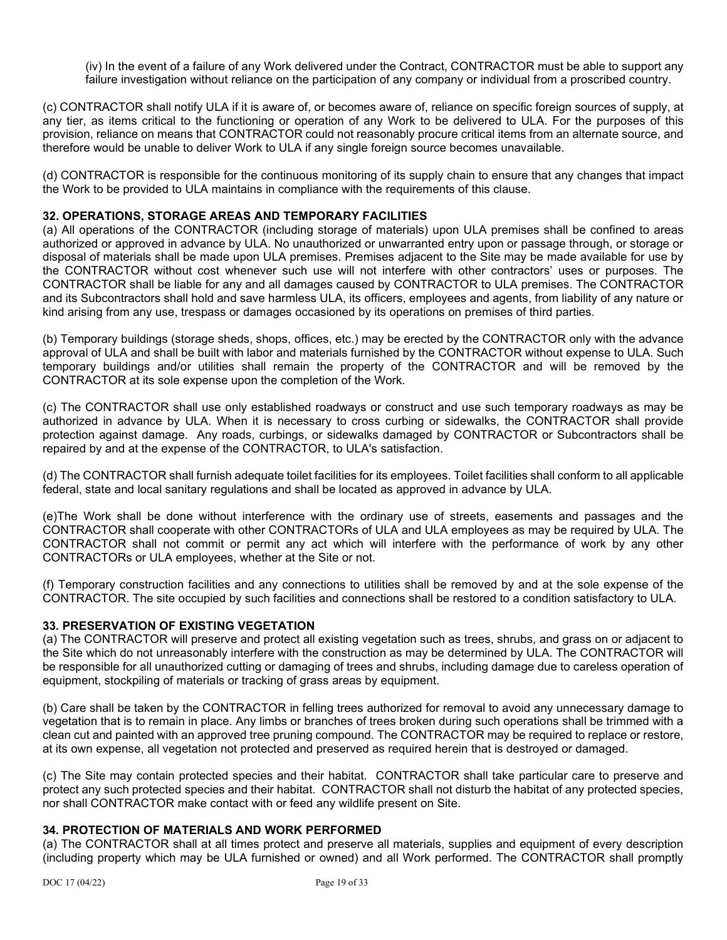(iv) In the event of a failure of any Work delivered under the Contract, CONTRACTOR must be able to support any failure investigation without reliance on the participation of any company or individual from a proscribed country.

(c) CONTRACTOR shall notify ULA if it is aware of, or becomes aware of, reliance on specific foreign sources of supply, at any tier, as items critical to the functioning or operation of any Work to be delivered to ULA. For the purposes of this provision, reliance on means that CONTRACTOR could not reasonably procure critical items from an alternate source, and therefore would be unable to deliver Work to ULA if any single foreign source becomes unavailable.

(d) CONTRACTOR is responsible for the continuous monitoring of its supply chain to ensure that any changes that impact the Work to be provided to ULA maintains in compliance with the requirements of this clause.

### **32. OPERATIONS, STORAGE AREAS AND TEMPORARY FACILITIES**

(a) All operations of the CONTRACTOR (including storage of materials) upon ULA premises shall be confined to areas authorized or approved in advance by ULA. No unauthorized or unwarranted entry upon or passage through, or storage or disposal of materials shall be made upon ULA premises. Premises adjacent to the Site may be made available for use by the CONTRACTOR without cost whenever such use will not interfere with other contractors' uses or purposes. The CONTRACTOR shall be liable for any and all damages caused by CONTRACTOR to ULA premises. The CONTRACTOR and its Subcontractors shall hold and save harmless ULA, its officers, employees and agents, from liability of any nature or kind arising from any use, trespass or damages occasioned by its operations on premises of third parties.

(b) Temporary buildings (storage sheds, shops, offices, etc.) may be erected by the CONTRACTOR only with the advance approval of ULA and shall be built with labor and materials furnished by the CONTRACTOR without expense to ULA. Such temporary buildings and/or utilities shall remain the property of the CONTRACTOR and will be removed by the CONTRACTOR at its sole expense upon the completion of the Work.

(c) The CONTRACTOR shall use only established roadways or construct and use such temporary roadways as may be authorized in advance by ULA. When it is necessary to cross curbing or sidewalks, the CONTRACTOR shall provide protection against damage. Any roads, curbings, or sidewalks damaged by CONTRACTOR or Subcontractors shall be repaired by and at the expense of the CONTRACTOR, to ULA's satisfaction.

(d) The CONTRACTOR shall furnish adequate toilet facilities for its employees. Toilet facilities shall conform to all applicable federal, state and local sanitary regulations and shall be located as approved in advance by ULA.

(e)The Work shall be done without interference with the ordinary use of streets, easements and passages and the CONTRACTOR shall cooperate with other CONTRACTORs of ULA and ULA employees as may be required by ULA. The CONTRACTOR shall not commit or permit any act which will interfere with the performance of work by any other CONTRACTORs or ULA employees, whether at the Site or not.

(f) Temporary construction facilities and any connections to utilities shall be removed by and at the sole expense of the CONTRACTOR. The site occupied by such facilities and connections shall be restored to a condition satisfactory to ULA.

### **33. PRESERVATION OF EXISTING VEGETATION**

(a) The CONTRACTOR will preserve and protect all existing vegetation such as trees, shrubs, and grass on or adjacent to the Site which do not unreasonably interfere with the construction as may be determined by ULA. The CONTRACTOR will be responsible for all unauthorized cutting or damaging of trees and shrubs, including damage due to careless operation of equipment, stockpiling of materials or tracking of grass areas by equipment.

(b) Care shall be taken by the CONTRACTOR in felling trees authorized for removal to avoid any unnecessary damage to vegetation that is to remain in place. Any limbs or branches of trees broken during such operations shall be trimmed with a clean cut and painted with an approved tree pruning compound. The CONTRACTOR may be required to replace or restore, at its own expense, all vegetation not protected and preserved as required herein that is destroyed or damaged.

(c) The Site may contain protected species and their habitat. CONTRACTOR shall take particular care to preserve and protect any such protected species and their habitat. CONTRACTOR shall not disturb the habitat of any protected species, nor shall CONTRACTOR make contact with or feed any wildlife present on Site.

#### **34. PROTECTION OF MATERIALS AND WORK PERFORMED**

(a) The CONTRACTOR shall at all times protect and preserve all materials, supplies and equipment of every description (including property which may be ULA furnished or owned) and all Work performed. The CONTRACTOR shall promptly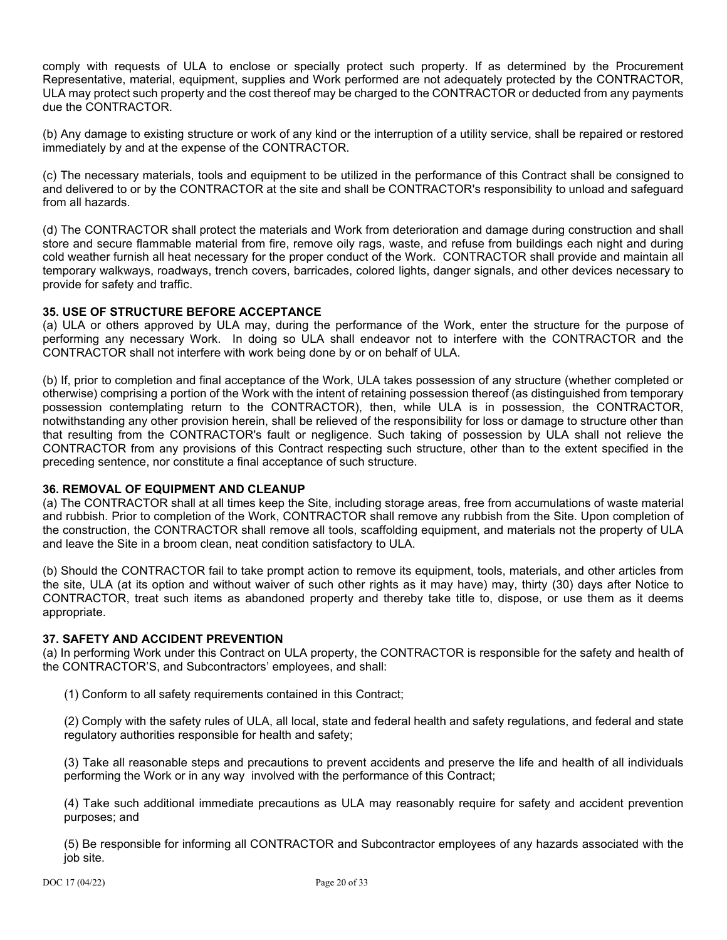comply with requests of ULA to enclose or specially protect such property. If as determined by the Procurement Representative, material, equipment, supplies and Work performed are not adequately protected by the CONTRACTOR, ULA may protect such property and the cost thereof may be charged to the CONTRACTOR or deducted from any payments due the CONTRACTOR.

(b) Any damage to existing structure or work of any kind or the interruption of a utility service, shall be repaired or restored immediately by and at the expense of the CONTRACTOR.

(c) The necessary materials, tools and equipment to be utilized in the performance of this Contract shall be consigned to and delivered to or by the CONTRACTOR at the site and shall be CONTRACTOR's responsibility to unload and safeguard from all hazards.

(d) The CONTRACTOR shall protect the materials and Work from deterioration and damage during construction and shall store and secure flammable material from fire, remove oily rags, waste, and refuse from buildings each night and during cold weather furnish all heat necessary for the proper conduct of the Work. CONTRACTOR shall provide and maintain all temporary walkways, roadways, trench covers, barricades, colored lights, danger signals, and other devices necessary to provide for safety and traffic.

### **35. USE OF STRUCTURE BEFORE ACCEPTANCE**

(a) ULA or others approved by ULA may, during the performance of the Work, enter the structure for the purpose of performing any necessary Work. In doing so ULA shall endeavor not to interfere with the CONTRACTOR and the CONTRACTOR shall not interfere with work being done by or on behalf of ULA.

(b) If, prior to completion and final acceptance of the Work, ULA takes possession of any structure (whether completed or otherwise) comprising a portion of the Work with the intent of retaining possession thereof (as distinguished from temporary possession contemplating return to the CONTRACTOR), then, while ULA is in possession, the CONTRACTOR, notwithstanding any other provision herein, shall be relieved of the responsibility for loss or damage to structure other than that resulting from the CONTRACTOR's fault or negligence. Such taking of possession by ULA shall not relieve the CONTRACTOR from any provisions of this Contract respecting such structure, other than to the extent specified in the preceding sentence, nor constitute a final acceptance of such structure.

## **36. REMOVAL OF EQUIPMENT AND CLEANUP**

(a) The CONTRACTOR shall at all times keep the Site, including storage areas, free from accumulations of waste material and rubbish. Prior to completion of the Work, CONTRACTOR shall remove any rubbish from the Site. Upon completion of the construction, the CONTRACTOR shall remove all tools, scaffolding equipment, and materials not the property of ULA and leave the Site in a broom clean, neat condition satisfactory to ULA.

(b) Should the CONTRACTOR fail to take prompt action to remove its equipment, tools, materials, and other articles from the site, ULA (at its option and without waiver of such other rights as it may have) may, thirty (30) days after Notice to CONTRACTOR, treat such items as abandoned property and thereby take title to, dispose, or use them as it deems appropriate.

#### **37. SAFETY AND ACCIDENT PREVENTION**

(a) In performing Work under this Contract on ULA property, the CONTRACTOR is responsible for the safety and health of the CONTRACTOR'S, and Subcontractors' employees, and shall:

(1) Conform to all safety requirements contained in this Contract;

(2) Comply with the safety rules of ULA, all local, state and federal health and safety regulations, and federal and state regulatory authorities responsible for health and safety;

(3) Take all reasonable steps and precautions to prevent accidents and preserve the life and health of all individuals performing the Work or in any way involved with the performance of this Contract;

(4) Take such additional immediate precautions as ULA may reasonably require for safety and accident prevention purposes; and

(5) Be responsible for informing all CONTRACTOR and Subcontractor employees of any hazards associated with the job site.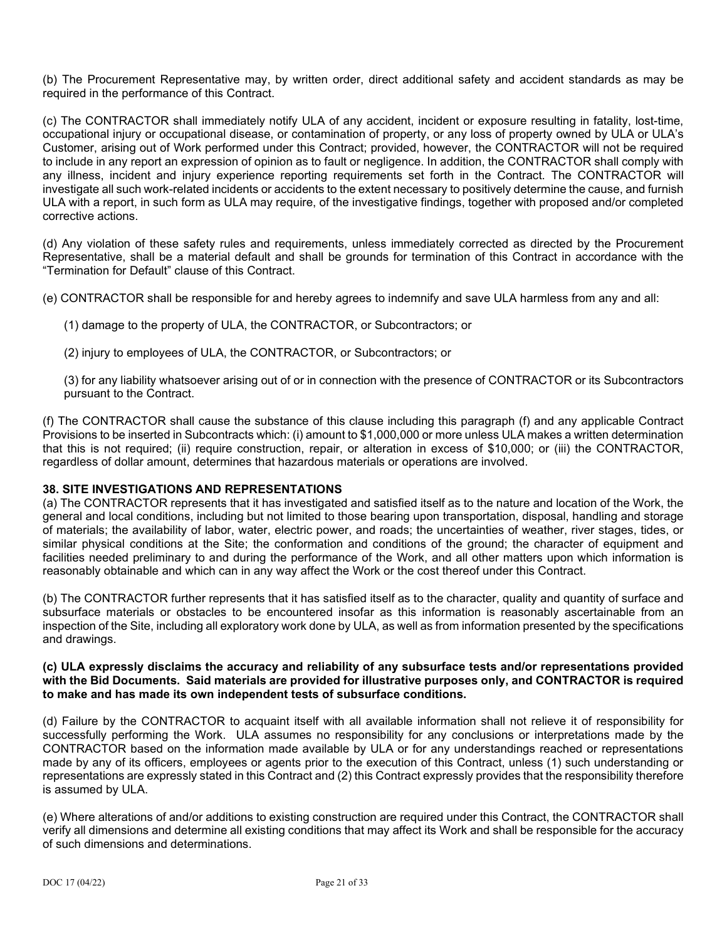(b) The Procurement Representative may, by written order, direct additional safety and accident standards as may be required in the performance of this Contract.

(c) The CONTRACTOR shall immediately notify ULA of any accident, incident or exposure resulting in fatality, lost-time, occupational injury or occupational disease, or contamination of property, or any loss of property owned by ULA or ULA's Customer, arising out of Work performed under this Contract; provided, however, the CONTRACTOR will not be required to include in any report an expression of opinion as to fault or negligence. In addition, the CONTRACTOR shall comply with any illness, incident and injury experience reporting requirements set forth in the Contract. The CONTRACTOR will investigate all such work-related incidents or accidents to the extent necessary to positively determine the cause, and furnish ULA with a report, in such form as ULA may require, of the investigative findings, together with proposed and/or completed corrective actions.

(d) Any violation of these safety rules and requirements, unless immediately corrected as directed by the Procurement Representative, shall be a material default and shall be grounds for termination of this Contract in accordance with the "Termination for Default" clause of this Contract.

- (e) CONTRACTOR shall be responsible for and hereby agrees to indemnify and save ULA harmless from any and all:
	- (1) damage to the property of ULA, the CONTRACTOR, or Subcontractors; or
	- (2) injury to employees of ULA, the CONTRACTOR, or Subcontractors; or
	- (3) for any liability whatsoever arising out of or in connection with the presence of CONTRACTOR or its Subcontractors pursuant to the Contract.

(f) The CONTRACTOR shall cause the substance of this clause including this paragraph (f) and any applicable Contract Provisions to be inserted in Subcontracts which: (i) amount to \$1,000,000 or more unless ULA makes a written determination that this is not required; (ii) require construction, repair, or alteration in excess of \$10,000; or (iii) the CONTRACTOR, regardless of dollar amount, determines that hazardous materials or operations are involved.

## **38. SITE INVESTIGATIONS AND REPRESENTATIONS**

(a) The CONTRACTOR represents that it has investigated and satisfied itself as to the nature and location of the Work, the general and local conditions, including but not limited to those bearing upon transportation, disposal, handling and storage of materials; the availability of labor, water, electric power, and roads; the uncertainties of weather, river stages, tides, or similar physical conditions at the Site; the conformation and conditions of the ground; the character of equipment and facilities needed preliminary to and during the performance of the Work, and all other matters upon which information is reasonably obtainable and which can in any way affect the Work or the cost thereof under this Contract.

(b) The CONTRACTOR further represents that it has satisfied itself as to the character, quality and quantity of surface and subsurface materials or obstacles to be encountered insofar as this information is reasonably ascertainable from an inspection of the Site, including all exploratory work done by ULA, as well as from information presented by the specifications and drawings.

#### **(c) ULA expressly disclaims the accuracy and reliability of any subsurface tests and/or representations provided with the Bid Documents. Said materials are provided for illustrative purposes only, and CONTRACTOR is required to make and has made its own independent tests of subsurface conditions.**

(d) Failure by the CONTRACTOR to acquaint itself with all available information shall not relieve it of responsibility for successfully performing the Work. ULA assumes no responsibility for any conclusions or interpretations made by the CONTRACTOR based on the information made available by ULA or for any understandings reached or representations made by any of its officers, employees or agents prior to the execution of this Contract, unless (1) such understanding or representations are expressly stated in this Contract and (2) this Contract expressly provides that the responsibility therefore is assumed by ULA.

(e) Where alterations of and/or additions to existing construction are required under this Contract, the CONTRACTOR shall verify all dimensions and determine all existing conditions that may affect its Work and shall be responsible for the accuracy of such dimensions and determinations.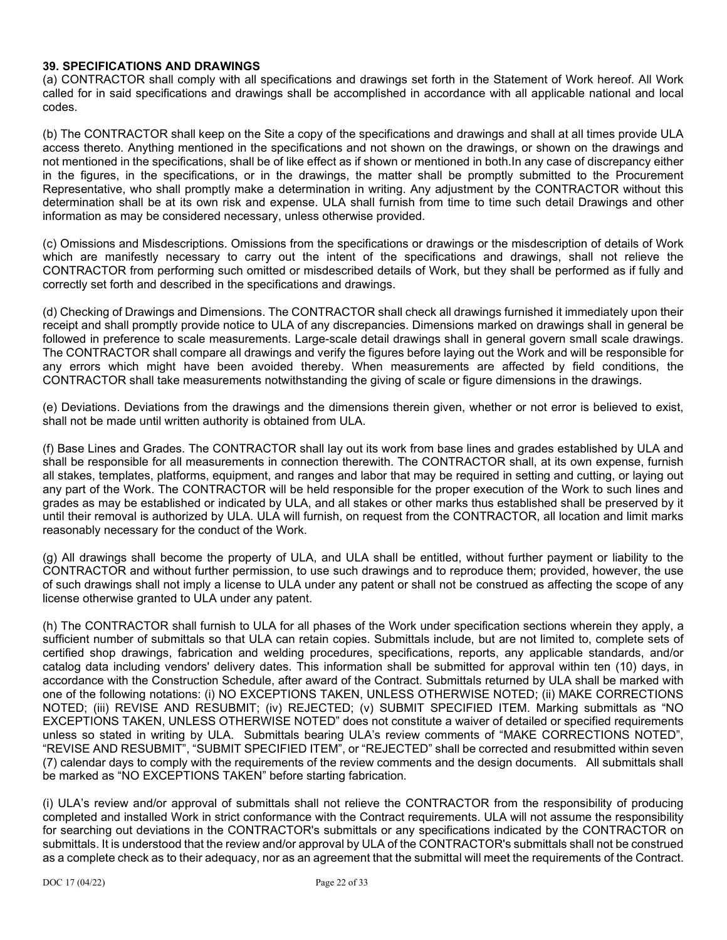### **39. SPECIFICATIONS AND DRAWINGS**

(a) CONTRACTOR shall comply with all specifications and drawings set forth in the Statement of Work hereof. All Work called for in said specifications and drawings shall be accomplished in accordance with all applicable national and local codes.

(b) The CONTRACTOR shall keep on the Site a copy of the specifications and drawings and shall at all times provide ULA access thereto. Anything mentioned in the specifications and not shown on the drawings, or shown on the drawings and not mentioned in the specifications, shall be of like effect as if shown or mentioned in both.In any case of discrepancy either in the figures, in the specifications, or in the drawings, the matter shall be promptly submitted to the Procurement Representative, who shall promptly make a determination in writing. Any adjustment by the CONTRACTOR without this determination shall be at its own risk and expense. ULA shall furnish from time to time such detail Drawings and other information as may be considered necessary, unless otherwise provided.

(c) Omissions and Misdescriptions. Omissions from the specifications or drawings or the misdescription of details of Work which are manifestly necessary to carry out the intent of the specifications and drawings, shall not relieve the CONTRACTOR from performing such omitted or misdescribed details of Work, but they shall be performed as if fully and correctly set forth and described in the specifications and drawings.

(d) Checking of Drawings and Dimensions. The CONTRACTOR shall check all drawings furnished it immediately upon their receipt and shall promptly provide notice to ULA of any discrepancies. Dimensions marked on drawings shall in general be followed in preference to scale measurements. Large-scale detail drawings shall in general govern small scale drawings. The CONTRACTOR shall compare all drawings and verify the figures before laying out the Work and will be responsible for any errors which might have been avoided thereby. When measurements are affected by field conditions, the CONTRACTOR shall take measurements notwithstanding the giving of scale or figure dimensions in the drawings.

(e) Deviations. Deviations from the drawings and the dimensions therein given, whether or not error is believed to exist, shall not be made until written authority is obtained from ULA.

(f) Base Lines and Grades. The CONTRACTOR shall lay out its work from base lines and grades established by ULA and shall be responsible for all measurements in connection therewith. The CONTRACTOR shall, at its own expense, furnish all stakes, templates, platforms, equipment, and ranges and labor that may be required in setting and cutting, or laying out any part of the Work. The CONTRACTOR will be held responsible for the proper execution of the Work to such lines and grades as may be established or indicated by ULA, and all stakes or other marks thus established shall be preserved by it until their removal is authorized by ULA. ULA will furnish, on request from the CONTRACTOR, all location and limit marks reasonably necessary for the conduct of the Work.

(g) All drawings shall become the property of ULA, and ULA shall be entitled, without further payment or liability to the CONTRACTOR and without further permission, to use such drawings and to reproduce them; provided, however, the use of such drawings shall not imply a license to ULA under any patent or shall not be construed as affecting the scope of any license otherwise granted to ULA under any patent.

(h) The CONTRACTOR shall furnish to ULA for all phases of the Work under specification sections wherein they apply, a sufficient number of submittals so that ULA can retain copies. Submittals include, but are not limited to, complete sets of certified shop drawings, fabrication and welding procedures, specifications, reports, any applicable standards, and/or catalog data including vendors' delivery dates. This information shall be submitted for approval within ten (10) days, in accordance with the Construction Schedule, after award of the Contract. Submittals returned by ULA shall be marked with one of the following notations: (i) NO EXCEPTIONS TAKEN, UNLESS OTHERWISE NOTED; (ii) MAKE CORRECTIONS NOTED; (iii) REVISE AND RESUBMIT; (iv) REJECTED; (v) SUBMIT SPECIFIED ITEM. Marking submittals as "NO EXCEPTIONS TAKEN, UNLESS OTHERWISE NOTED" does not constitute a waiver of detailed or specified requirements unless so stated in writing by ULA. Submittals bearing ULA's review comments of "MAKE CORRECTIONS NOTED", "REVISE AND RESUBMIT", "SUBMIT SPECIFIED ITEM", or "REJECTED" shall be corrected and resubmitted within seven (7) calendar days to comply with the requirements of the review comments and the design documents. All submittals shall be marked as "NO EXCEPTIONS TAKEN" before starting fabrication.

(i) ULA's review and/or approval of submittals shall not relieve the CONTRACTOR from the responsibility of producing completed and installed Work in strict conformance with the Contract requirements. ULA will not assume the responsibility for searching out deviations in the CONTRACTOR's submittals or any specifications indicated by the CONTRACTOR on submittals. It is understood that the review and/or approval by ULA of the CONTRACTOR's submittals shall not be construed as a complete check as to their adequacy, nor as an agreement that the submittal will meet the requirements of the Contract.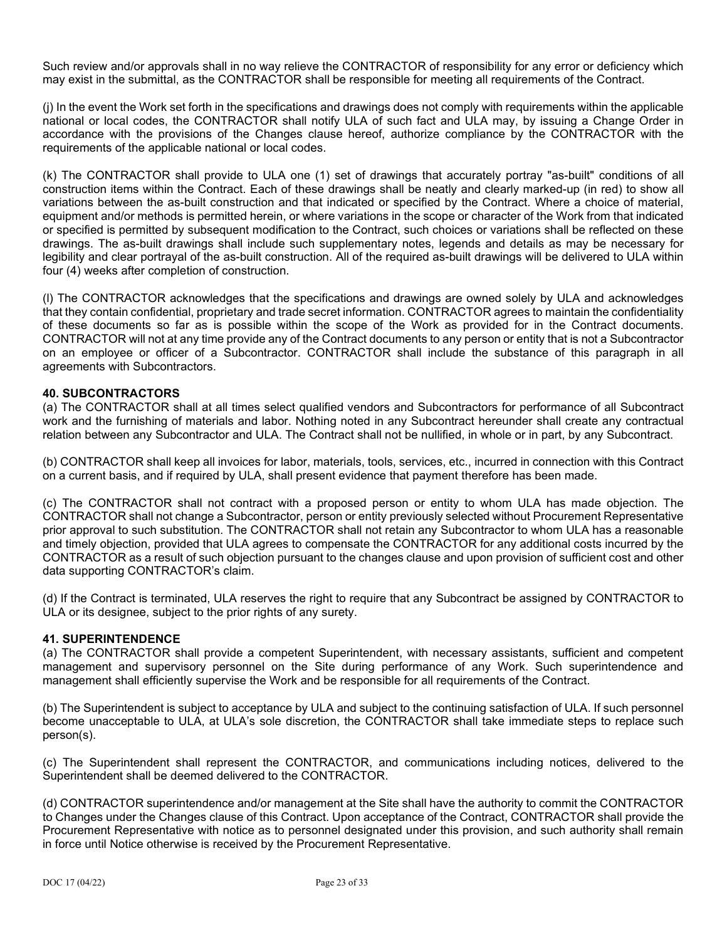Such review and/or approvals shall in no way relieve the CONTRACTOR of responsibility for any error or deficiency which may exist in the submittal, as the CONTRACTOR shall be responsible for meeting all requirements of the Contract.

(j) In the event the Work set forth in the specifications and drawings does not comply with requirements within the applicable national or local codes, the CONTRACTOR shall notify ULA of such fact and ULA may, by issuing a Change Order in accordance with the provisions of the Changes clause hereof, authorize compliance by the CONTRACTOR with the requirements of the applicable national or local codes.

(k) The CONTRACTOR shall provide to ULA one (1) set of drawings that accurately portray "as-built" conditions of all construction items within the Contract. Each of these drawings shall be neatly and clearly marked-up (in red) to show all variations between the as-built construction and that indicated or specified by the Contract. Where a choice of material, equipment and/or methods is permitted herein, or where variations in the scope or character of the Work from that indicated or specified is permitted by subsequent modification to the Contract, such choices or variations shall be reflected on these drawings. The as-built drawings shall include such supplementary notes, legends and details as may be necessary for legibility and clear portrayal of the as-built construction. All of the required as-built drawings will be delivered to ULA within four (4) weeks after completion of construction.

(l) The CONTRACTOR acknowledges that the specifications and drawings are owned solely by ULA and acknowledges that they contain confidential, proprietary and trade secret information. CONTRACTOR agrees to maintain the confidentiality of these documents so far as is possible within the scope of the Work as provided for in the Contract documents. CONTRACTOR will not at any time provide any of the Contract documents to any person or entity that is not a Subcontractor on an employee or officer of a Subcontractor. CONTRACTOR shall include the substance of this paragraph in all agreements with Subcontractors.

## **40. SUBCONTRACTORS**

(a) The CONTRACTOR shall at all times select qualified vendors and Subcontractors for performance of all Subcontract work and the furnishing of materials and labor. Nothing noted in any Subcontract hereunder shall create any contractual relation between any Subcontractor and ULA. The Contract shall not be nullified, in whole or in part, by any Subcontract.

(b) CONTRACTOR shall keep all invoices for labor, materials, tools, services, etc., incurred in connection with this Contract on a current basis, and if required by ULA, shall present evidence that payment therefore has been made.

(c) The CONTRACTOR shall not contract with a proposed person or entity to whom ULA has made objection. The CONTRACTOR shall not change a Subcontractor, person or entity previously selected without Procurement Representative prior approval to such substitution. The CONTRACTOR shall not retain any Subcontractor to whom ULA has a reasonable and timely objection, provided that ULA agrees to compensate the CONTRACTOR for any additional costs incurred by the CONTRACTOR as a result of such objection pursuant to the changes clause and upon provision of sufficient cost and other data supporting CONTRACTOR's claim.

(d) If the Contract is terminated, ULA reserves the right to require that any Subcontract be assigned by CONTRACTOR to ULA or its designee, subject to the prior rights of any surety.

#### **41. SUPERINTENDENCE**

(a) The CONTRACTOR shall provide a competent Superintendent, with necessary assistants, sufficient and competent management and supervisory personnel on the Site during performance of any Work. Such superintendence and management shall efficiently supervise the Work and be responsible for all requirements of the Contract.

(b) The Superintendent is subject to acceptance by ULA and subject to the continuing satisfaction of ULA. If such personnel become unacceptable to ULA, at ULA's sole discretion, the CONTRACTOR shall take immediate steps to replace such person(s).

(c) The Superintendent shall represent the CONTRACTOR, and communications including notices, delivered to the Superintendent shall be deemed delivered to the CONTRACTOR.

(d) CONTRACTOR superintendence and/or management at the Site shall have the authority to commit the CONTRACTOR to Changes under the Changes clause of this Contract. Upon acceptance of the Contract, CONTRACTOR shall provide the Procurement Representative with notice as to personnel designated under this provision, and such authority shall remain in force until Notice otherwise is received by the Procurement Representative.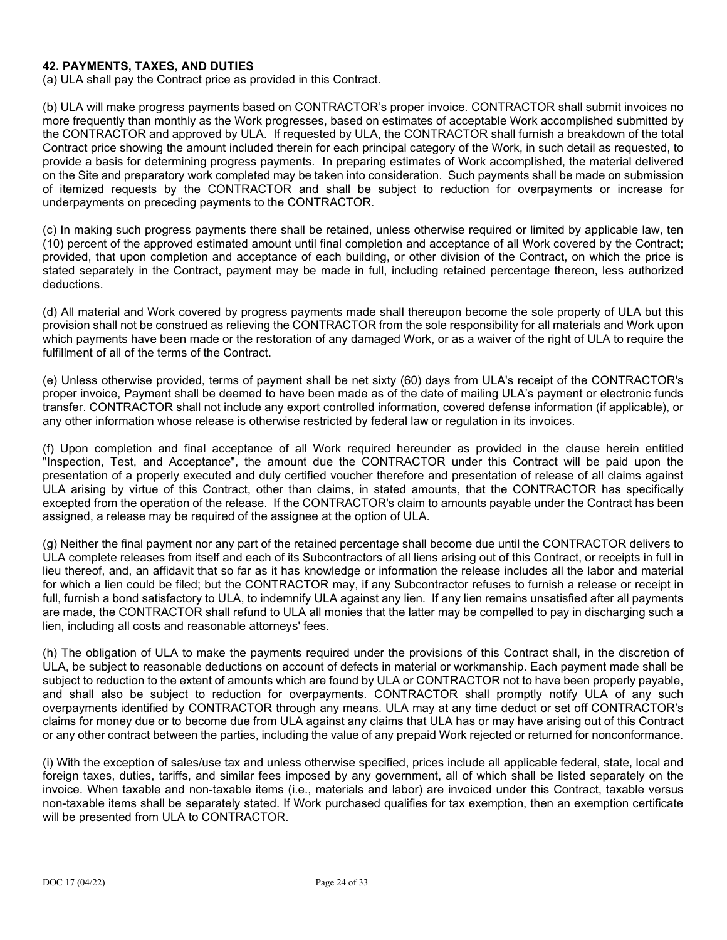### **42. PAYMENTS, TAXES, AND DUTIES**

(a) ULA shall pay the Contract price as provided in this Contract.

(b) ULA will make progress payments based on CONTRACTOR's proper invoice. CONTRACTOR shall submit invoices no more frequently than monthly as the Work progresses, based on estimates of acceptable Work accomplished submitted by the CONTRACTOR and approved by ULA. If requested by ULA, the CONTRACTOR shall furnish a breakdown of the total Contract price showing the amount included therein for each principal category of the Work, in such detail as requested, to provide a basis for determining progress payments. In preparing estimates of Work accomplished, the material delivered on the Site and preparatory work completed may be taken into consideration. Such payments shall be made on submission of itemized requests by the CONTRACTOR and shall be subject to reduction for overpayments or increase for underpayments on preceding payments to the CONTRACTOR.

(c) In making such progress payments there shall be retained, unless otherwise required or limited by applicable law, ten (10) percent of the approved estimated amount until final completion and acceptance of all Work covered by the Contract; provided, that upon completion and acceptance of each building, or other division of the Contract, on which the price is stated separately in the Contract, payment may be made in full, including retained percentage thereon, less authorized deductions.

(d) All material and Work covered by progress payments made shall thereupon become the sole property of ULA but this provision shall not be construed as relieving the CONTRACTOR from the sole responsibility for all materials and Work upon which payments have been made or the restoration of any damaged Work, or as a waiver of the right of ULA to require the fulfillment of all of the terms of the Contract.

(e) Unless otherwise provided, terms of payment shall be net sixty (60) days from ULA's receipt of the CONTRACTOR's proper invoice, Payment shall be deemed to have been made as of the date of mailing ULA's payment or electronic funds transfer. CONTRACTOR shall not include any export controlled information, covered defense information (if applicable), or any other information whose release is otherwise restricted by federal law or regulation in its invoices.

(f) Upon completion and final acceptance of all Work required hereunder as provided in the clause herein entitled "Inspection, Test, and Acceptance", the amount due the CONTRACTOR under this Contract will be paid upon the presentation of a properly executed and duly certified voucher therefore and presentation of release of all claims against ULA arising by virtue of this Contract, other than claims, in stated amounts, that the CONTRACTOR has specifically excepted from the operation of the release. If the CONTRACTOR's claim to amounts payable under the Contract has been assigned, a release may be required of the assignee at the option of ULA.

(g) Neither the final payment nor any part of the retained percentage shall become due until the CONTRACTOR delivers to ULA complete releases from itself and each of its Subcontractors of all liens arising out of this Contract, or receipts in full in lieu thereof, and, an affidavit that so far as it has knowledge or information the release includes all the labor and material for which a lien could be filed; but the CONTRACTOR may, if any Subcontractor refuses to furnish a release or receipt in full, furnish a bond satisfactory to ULA, to indemnify ULA against any lien. If any lien remains unsatisfied after all payments are made, the CONTRACTOR shall refund to ULA all monies that the latter may be compelled to pay in discharging such a lien, including all costs and reasonable attorneys' fees.

(h) The obligation of ULA to make the payments required under the provisions of this Contract shall, in the discretion of ULA, be subject to reasonable deductions on account of defects in material or workmanship. Each payment made shall be subject to reduction to the extent of amounts which are found by ULA or CONTRACTOR not to have been properly payable, and shall also be subject to reduction for overpayments. CONTRACTOR shall promptly notify ULA of any such overpayments identified by CONTRACTOR through any means. ULA may at any time deduct or set off CONTRACTOR's claims for money due or to become due from ULA against any claims that ULA has or may have arising out of this Contract or any other contract between the parties, including the value of any prepaid Work rejected or returned for nonconformance.

(i) With the exception of sales/use tax and unless otherwise specified, prices include all applicable federal, state, local and foreign taxes, duties, tariffs, and similar fees imposed by any government, all of which shall be listed separately on the invoice. When taxable and non-taxable items (i.e., materials and labor) are invoiced under this Contract, taxable versus non-taxable items shall be separately stated. If Work purchased qualifies for tax exemption, then an exemption certificate will be presented from ULA to CONTRACTOR.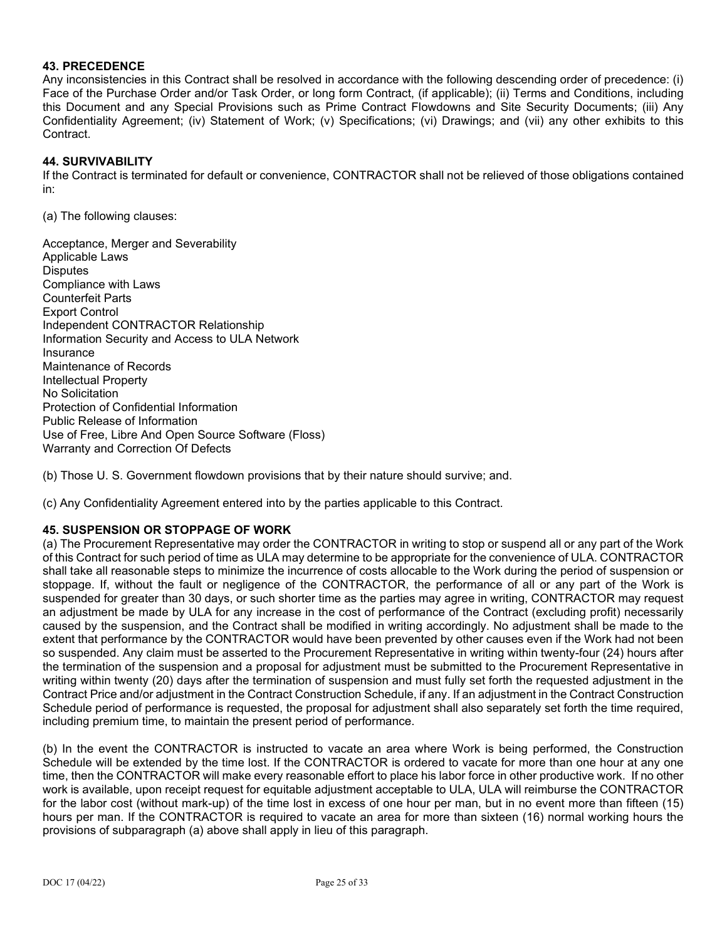### **43. PRECEDENCE**

Any inconsistencies in this Contract shall be resolved in accordance with the following descending order of precedence: (i) Face of the Purchase Order and/or Task Order, or long form Contract, (if applicable); (ii) Terms and Conditions, including this Document and any Special Provisions such as Prime Contract Flowdowns and Site Security Documents; (iii) Any Confidentiality Agreement; (iv) Statement of Work; (v) Specifications; (vi) Drawings; and (vii) any other exhibits to this Contract.

### **44. SURVIVABILITY**

If the Contract is terminated for default or convenience, CONTRACTOR shall not be relieved of those obligations contained in:

(a) The following clauses:

Acceptance, Merger and Severability Applicable Laws **Disputes** Compliance with Laws Counterfeit Parts Export Control Independent CONTRACTOR Relationship Information Security and Access to ULA Network Insurance Maintenance of Records Intellectual Property No Solicitation Protection of Confidential Information Public Release of Information Use of Free, Libre And Open Source Software (Floss) Warranty and Correction Of Defects

(b) Those U. S. Government flowdown provisions that by their nature should survive; and.

(c) Any Confidentiality Agreement entered into by the parties applicable to this Contract.

#### **45. SUSPENSION OR STOPPAGE OF WORK**

(a) The Procurement Representative may order the CONTRACTOR in writing to stop or suspend all or any part of the Work of this Contract for such period of time as ULA may determine to be appropriate for the convenience of ULA. CONTRACTOR shall take all reasonable steps to minimize the incurrence of costs allocable to the Work during the period of suspension or stoppage. If, without the fault or negligence of the CONTRACTOR, the performance of all or any part of the Work is suspended for greater than 30 days, or such shorter time as the parties may agree in writing, CONTRACTOR may request an adjustment be made by ULA for any increase in the cost of performance of the Contract (excluding profit) necessarily caused by the suspension, and the Contract shall be modified in writing accordingly. No adjustment shall be made to the extent that performance by the CONTRACTOR would have been prevented by other causes even if the Work had not been so suspended. Any claim must be asserted to the Procurement Representative in writing within twenty-four (24) hours after the termination of the suspension and a proposal for adjustment must be submitted to the Procurement Representative in writing within twenty (20) days after the termination of suspension and must fully set forth the requested adjustment in the Contract Price and/or adjustment in the Contract Construction Schedule, if any. If an adjustment in the Contract Construction Schedule period of performance is requested, the proposal for adjustment shall also separately set forth the time required, including premium time, to maintain the present period of performance.

(b) In the event the CONTRACTOR is instructed to vacate an area where Work is being performed, the Construction Schedule will be extended by the time lost. If the CONTRACTOR is ordered to vacate for more than one hour at any one time, then the CONTRACTOR will make every reasonable effort to place his labor force in other productive work. If no other work is available, upon receipt request for equitable adjustment acceptable to ULA, ULA will reimburse the CONTRACTOR for the labor cost (without mark-up) of the time lost in excess of one hour per man, but in no event more than fifteen (15) hours per man. If the CONTRACTOR is required to vacate an area for more than sixteen (16) normal working hours the provisions of subparagraph (a) above shall apply in lieu of this paragraph.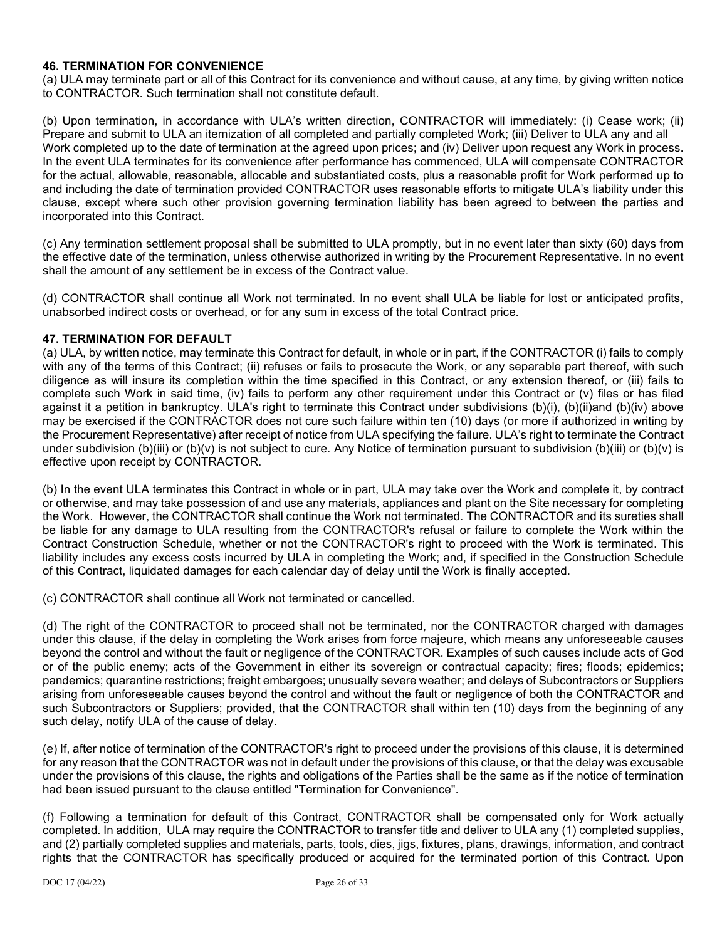## **46. TERMINATION FOR CONVENIENCE**

(a) ULA may terminate part or all of this Contract for its convenience and without cause, at any time, by giving written notice to CONTRACTOR. Such termination shall not constitute default.

(b) Upon termination, in accordance with ULA's written direction, CONTRACTOR will immediately: (i) Cease work; (ii) Prepare and submit to ULA an itemization of all completed and partially completed Work; (iii) Deliver to ULA any and all Work completed up to the date of termination at the agreed upon prices; and (iv) Deliver upon request any Work in process. In the event ULA terminates for its convenience after performance has commenced, ULA will compensate CONTRACTOR for the actual, allowable, reasonable, allocable and substantiated costs, plus a reasonable profit for Work performed up to and including the date of termination provided CONTRACTOR uses reasonable efforts to mitigate ULA's liability under this clause, except where such other provision governing termination liability has been agreed to between the parties and incorporated into this Contract.

(c) Any termination settlement proposal shall be submitted to ULA promptly, but in no event later than sixty (60) days from the effective date of the termination, unless otherwise authorized in writing by the Procurement Representative. In no event shall the amount of any settlement be in excess of the Contract value.

(d) CONTRACTOR shall continue all Work not terminated. In no event shall ULA be liable for lost or anticipated profits, unabsorbed indirect costs or overhead, or for any sum in excess of the total Contract price.

#### **47. TERMINATION FOR DEFAULT**

(a) ULA, by written notice, may terminate this Contract for default, in whole or in part, if the CONTRACTOR (i) fails to comply with any of the terms of this Contract; (ii) refuses or fails to prosecute the Work, or any separable part thereof, with such diligence as will insure its completion within the time specified in this Contract, or any extension thereof, or (iii) fails to complete such Work in said time, (iv) fails to perform any other requirement under this Contract or (v) files or has filed against it a petition in bankruptcy. ULA's right to terminate this Contract under subdivisions (b)(i), (b)(ii)and (b)(iv) above may be exercised if the CONTRACTOR does not cure such failure within ten (10) days (or more if authorized in writing by the Procurement Representative) after receipt of notice from ULA specifying the failure. ULA's right to terminate the Contract under subdivision (b)(iii) or (b)(v) is not subject to cure. Any Notice of termination pursuant to subdivision (b)(iii) or (b)(v) is effective upon receipt by CONTRACTOR.

(b) In the event ULA terminates this Contract in whole or in part, ULA may take over the Work and complete it, by contract or otherwise, and may take possession of and use any materials, appliances and plant on the Site necessary for completing the Work. However, the CONTRACTOR shall continue the Work not terminated. The CONTRACTOR and its sureties shall be liable for any damage to ULA resulting from the CONTRACTOR's refusal or failure to complete the Work within the Contract Construction Schedule, whether or not the CONTRACTOR's right to proceed with the Work is terminated. This liability includes any excess costs incurred by ULA in completing the Work; and, if specified in the Construction Schedule of this Contract, liquidated damages for each calendar day of delay until the Work is finally accepted.

(c) CONTRACTOR shall continue all Work not terminated or cancelled.

(d) The right of the CONTRACTOR to proceed shall not be terminated, nor the CONTRACTOR charged with damages under this clause, if the delay in completing the Work arises from force majeure, which means any unforeseeable causes beyond the control and without the fault or negligence of the CONTRACTOR. Examples of such causes include acts of God or of the public enemy; acts of the Government in either its sovereign or contractual capacity; fires; floods; epidemics; pandemics; quarantine restrictions; freight embargoes; unusually severe weather; and delays of Subcontractors or Suppliers arising from unforeseeable causes beyond the control and without the fault or negligence of both the CONTRACTOR and such Subcontractors or Suppliers; provided, that the CONTRACTOR shall within ten (10) days from the beginning of any such delay, notify ULA of the cause of delay.

(e) If, after notice of termination of the CONTRACTOR's right to proceed under the provisions of this clause, it is determined for any reason that the CONTRACTOR was not in default under the provisions of this clause, or that the delay was excusable under the provisions of this clause, the rights and obligations of the Parties shall be the same as if the notice of termination had been issued pursuant to the clause entitled "Termination for Convenience".

(f) Following a termination for default of this Contract, CONTRACTOR shall be compensated only for Work actually completed. In addition, ULA may require the CONTRACTOR to transfer title and deliver to ULA any (1) completed supplies, and (2) partially completed supplies and materials, parts, tools, dies, jigs, fixtures, plans, drawings, information, and contract rights that the CONTRACTOR has specifically produced or acquired for the terminated portion of this Contract. Upon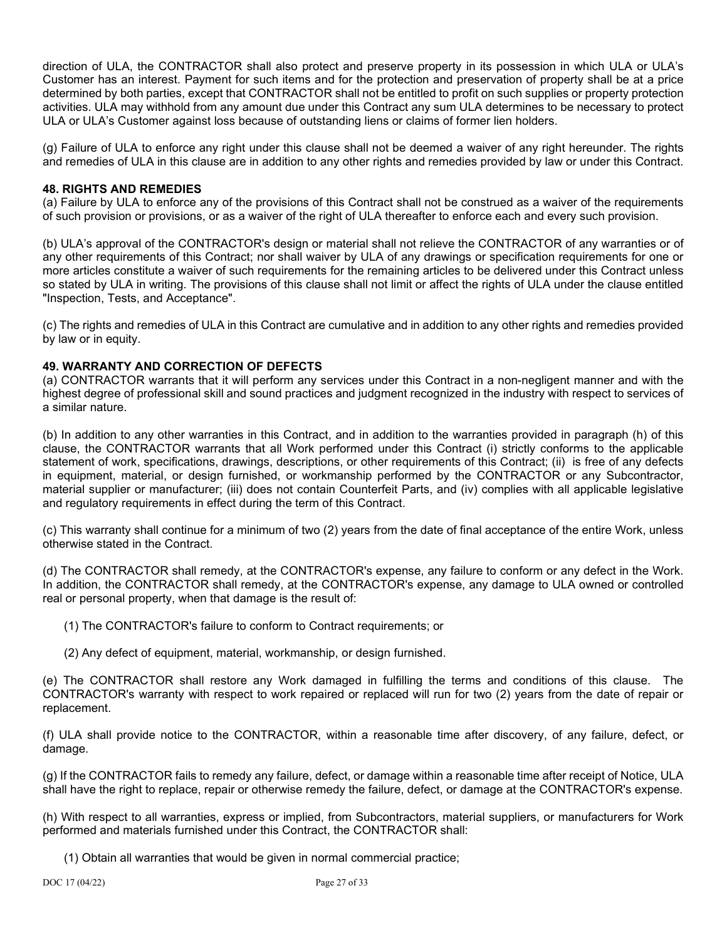direction of ULA, the CONTRACTOR shall also protect and preserve property in its possession in which ULA or ULA's Customer has an interest. Payment for such items and for the protection and preservation of property shall be at a price determined by both parties, except that CONTRACTOR shall not be entitled to profit on such supplies or property protection activities. ULA may withhold from any amount due under this Contract any sum ULA determines to be necessary to protect ULA or ULA's Customer against loss because of outstanding liens or claims of former lien holders.

(g) Failure of ULA to enforce any right under this clause shall not be deemed a waiver of any right hereunder. The rights and remedies of ULA in this clause are in addition to any other rights and remedies provided by law or under this Contract.

## **48. RIGHTS AND REMEDIES**

(a) Failure by ULA to enforce any of the provisions of this Contract shall not be construed as a waiver of the requirements of such provision or provisions, or as a waiver of the right of ULA thereafter to enforce each and every such provision.

(b) ULA's approval of the CONTRACTOR's design or material shall not relieve the CONTRACTOR of any warranties or of any other requirements of this Contract; nor shall waiver by ULA of any drawings or specification requirements for one or more articles constitute a waiver of such requirements for the remaining articles to be delivered under this Contract unless so stated by ULA in writing. The provisions of this clause shall not limit or affect the rights of ULA under the clause entitled "Inspection, Tests, and Acceptance".

(c) The rights and remedies of ULA in this Contract are cumulative and in addition to any other rights and remedies provided by law or in equity.

## **49. WARRANTY AND CORRECTION OF DEFECTS**

(a) CONTRACTOR warrants that it will perform any services under this Contract in a non-negligent manner and with the highest degree of professional skill and sound practices and judgment recognized in the industry with respect to services of a similar nature.

(b) In addition to any other warranties in this Contract, and in addition to the warranties provided in paragraph (h) of this clause, the CONTRACTOR warrants that all Work performed under this Contract (i) strictly conforms to the applicable statement of work, specifications, drawings, descriptions, or other requirements of this Contract; (ii) is free of any defects in equipment, material, or design furnished, or workmanship performed by the CONTRACTOR or any Subcontractor, material supplier or manufacturer; (iii) does not contain Counterfeit Parts, and (iv) complies with all applicable legislative and regulatory requirements in effect during the term of this Contract.

(c) This warranty shall continue for a minimum of two (2) years from the date of final acceptance of the entire Work, unless otherwise stated in the Contract.

(d) The CONTRACTOR shall remedy, at the CONTRACTOR's expense, any failure to conform or any defect in the Work. In addition, the CONTRACTOR shall remedy, at the CONTRACTOR's expense, any damage to ULA owned or controlled real or personal property, when that damage is the result of:

(1) The CONTRACTOR's failure to conform to Contract requirements; or

(2) Any defect of equipment, material, workmanship, or design furnished.

(e) The CONTRACTOR shall restore any Work damaged in fulfilling the terms and conditions of this clause. The CONTRACTOR's warranty with respect to work repaired or replaced will run for two (2) years from the date of repair or replacement.

(f) ULA shall provide notice to the CONTRACTOR, within a reasonable time after discovery, of any failure, defect, or damage.

(g) If the CONTRACTOR fails to remedy any failure, defect, or damage within a reasonable time after receipt of Notice, ULA shall have the right to replace, repair or otherwise remedy the failure, defect, or damage at the CONTRACTOR's expense.

(h) With respect to all warranties, express or implied, from Subcontractors, material suppliers, or manufacturers for Work performed and materials furnished under this Contract, the CONTRACTOR shall:

(1) Obtain all warranties that would be given in normal commercial practice;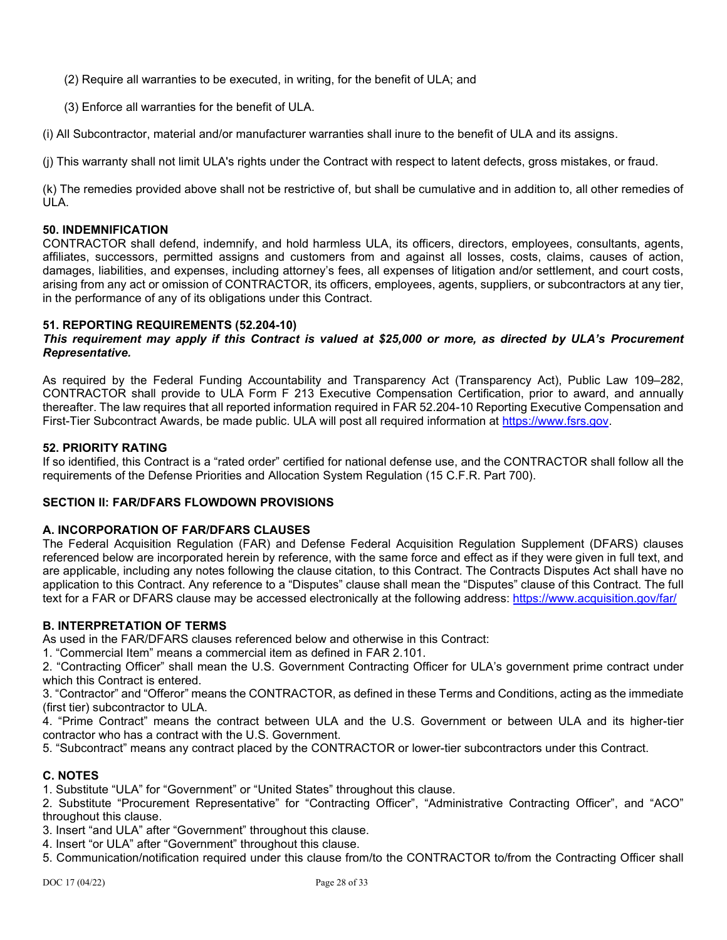- (2) Require all warranties to be executed, in writing, for the benefit of ULA; and
- (3) Enforce all warranties for the benefit of ULA.

(i) All Subcontractor, material and/or manufacturer warranties shall inure to the benefit of ULA and its assigns.

(j) This warranty shall not limit ULA's rights under the Contract with respect to latent defects, gross mistakes, or fraud.

(k) The remedies provided above shall not be restrictive of, but shall be cumulative and in addition to, all other remedies of ULA.

#### **50. INDEMNIFICATION**

CONTRACTOR shall defend, indemnify, and hold harmless ULA, its officers, directors, employees, consultants, agents, affiliates, successors, permitted assigns and customers from and against all losses, costs, claims, causes of action, damages, liabilities, and expenses, including attorney's fees, all expenses of litigation and/or settlement, and court costs, arising from any act or omission of CONTRACTOR, its officers, employees, agents, suppliers, or subcontractors at any tier, in the performance of any of its obligations under this Contract.

### **51. REPORTING REQUIREMENTS (52.204-10)**

### *This requirement may apply if this Contract is valued at \$25,000 or more, as directed by ULA's Procurement Representative.*

As required by the Federal Funding Accountability and Transparency Act (Transparency Act), Public Law 109–282, CONTRACTOR shall provide to ULA Form F 213 Executive Compensation Certification, prior to award, and annually thereafter. The law requires that all reported information required in FAR 52.204-10 Reporting Executive Compensation and First-Tier Subcontract Awards, be made public. ULA will post all required information at [https://www.fsrs.gov.](https://www.fsrs.gov/)

#### **52. PRIORITY RATING**

If so identified, this Contract is a "rated order" certified for national defense use, and the CONTRACTOR shall follow all the requirements of the Defense Priorities and Allocation System Regulation (15 C.F.R. Part 700).

## **SECTION II: FAR/DFARS FLOWDOWN PROVISIONS**

#### **A. INCORPORATION OF FAR/DFARS CLAUSES**

The Federal Acquisition Regulation (FAR) and Defense Federal Acquisition Regulation Supplement (DFARS) clauses referenced below are incorporated herein by reference, with the same force and effect as if they were given in full text, and are applicable, including any notes following the clause citation, to this Contract. The Contracts Disputes Act shall have no application to this Contract. Any reference to a "Disputes" clause shall mean the "Disputes" clause of this Contract. The full text for a FAR or DFARS clause may be accessed electronically at the following address:<https://www.acquisition.gov/far/>

### **B. INTERPRETATION OF TERMS**

As used in the FAR/DFARS clauses referenced below and otherwise in this Contract:

1. "Commercial Item" means a commercial item as defined in FAR 2.101.

2. "Contracting Officer" shall mean the U.S. Government Contracting Officer for ULA's government prime contract under which this Contract is entered.

3. "Contractor" and "Offeror" means the CONTRACTOR, as defined in these Terms and Conditions, acting as the immediate (first tier) subcontractor to ULA.

4. "Prime Contract" means the contract between ULA and the U.S. Government or between ULA and its higher-tier contractor who has a contract with the U.S. Government.

5. "Subcontract" means any contract placed by the CONTRACTOR or lower-tier subcontractors under this Contract.

## **C. NOTES**

1. Substitute "ULA" for "Government" or "United States" throughout this clause.

2. Substitute "Procurement Representative" for "Contracting Officer", "Administrative Contracting Officer", and "ACO" throughout this clause.

3. Insert "and ULA" after "Government" throughout this clause.

4. Insert "or ULA" after "Government" throughout this clause.

5. Communication/notification required under this clause from/to the CONTRACTOR to/from the Contracting Officer shall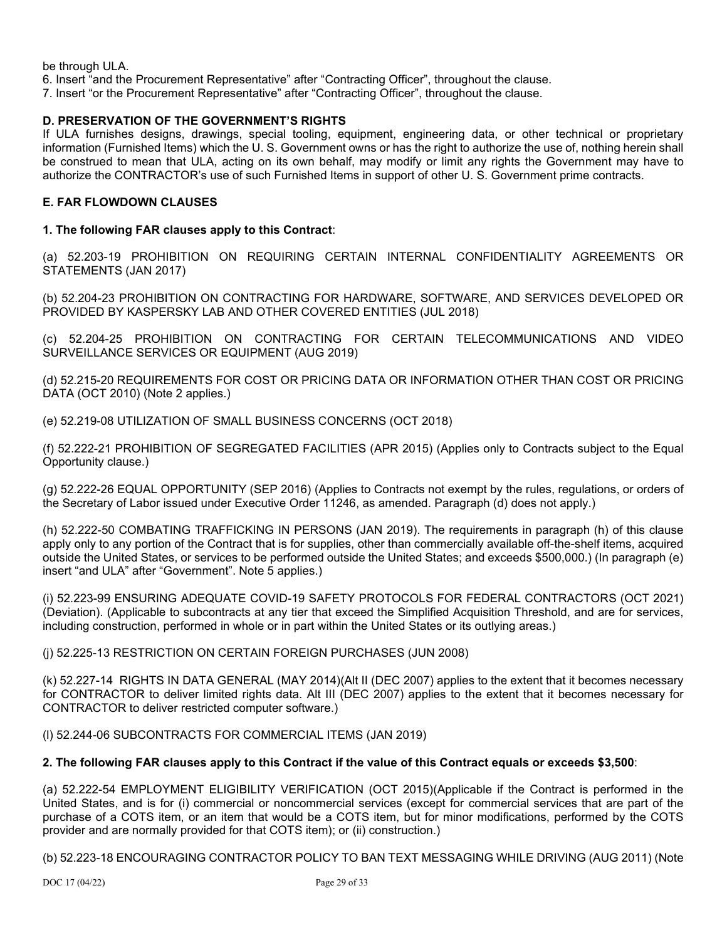be through ULA.

6. Insert "and the Procurement Representative" after "Contracting Officer", throughout the clause.

7. Insert "or the Procurement Representative" after "Contracting Officer", throughout the clause.

## **D. PRESERVATION OF THE GOVERNMENT'S RIGHTS**

If ULA furnishes designs, drawings, special tooling, equipment, engineering data, or other technical or proprietary information (Furnished Items) which the U. S. Government owns or has the right to authorize the use of, nothing herein shall be construed to mean that ULA, acting on its own behalf, may modify or limit any rights the Government may have to authorize the CONTRACTOR's use of such Furnished Items in support of other U. S. Government prime contracts.

## **E. FAR FLOWDOWN CLAUSES**

### **1. The following FAR clauses apply to this Contract**:

(a) 52.203-19 PROHIBITION ON REQUIRING CERTAIN INTERNAL CONFIDENTIALITY AGREEMENTS OR STATEMENTS (JAN 2017)

(b) 52.204-23 PROHIBITION ON CONTRACTING FOR HARDWARE, SOFTWARE, AND SERVICES DEVELOPED OR PROVIDED BY KASPERSKY LAB AND OTHER COVERED ENTITIES (JUL 2018)

(c) 52.204-25 PROHIBITION ON CONTRACTING FOR CERTAIN TELECOMMUNICATIONS AND VIDEO SURVEILLANCE SERVICES OR EQUIPMENT (AUG 2019)

(d) 52.215-20 REQUIREMENTS FOR COST OR PRICING DATA OR INFORMATION OTHER THAN COST OR PRICING DATA (OCT 2010) (Note 2 applies.)

(e) 52.219-08 UTILIZATION OF SMALL BUSINESS CONCERNS (OCT 2018)

(f) 52.222-21 PROHIBITION OF SEGREGATED FACILITIES (APR 2015) (Applies only to Contracts subject to the Equal Opportunity clause.)

(g) 52.222-26 EQUAL OPPORTUNITY (SEP 2016) (Applies to Contracts not exempt by the rules, regulations, or orders of the Secretary of Labor issued under Executive Order 11246, as amended. Paragraph (d) does not apply.)

(h) 52.222-50 COMBATING TRAFFICKING IN PERSONS (JAN 2019). The requirements in paragraph (h) of this clause apply only to any portion of the Contract that is for supplies, other than commercially available off-the-shelf items, acquired outside the United States, or services to be performed outside the United States; and exceeds \$500,000.) (In paragraph (e) insert "and ULA" after "Government". Note 5 applies.)

(i) 52.223-99 ENSURING ADEQUATE COVID-19 SAFETY PROTOCOLS FOR FEDERAL CONTRACTORS (OCT 2021) (Deviation). (Applicable to subcontracts at any tier that exceed the Simplified Acquisition Threshold, and are for services, including construction, performed in whole or in part within the United States or its outlying areas.)

#### (j) 52.225-13 RESTRICTION ON CERTAIN FOREIGN PURCHASES (JUN 2008)

(k) 52.227-14 RIGHTS IN DATA GENERAL (MAY 2014)(Alt II (DEC 2007) applies to the extent that it becomes necessary for CONTRACTOR to deliver limited rights data. Alt III (DEC 2007) applies to the extent that it becomes necessary for CONTRACTOR to deliver restricted computer software.)

(l) 52.244-06 SUBCONTRACTS FOR COMMERCIAL ITEMS (JAN 2019)

## **2. The following FAR clauses apply to this Contract if the value of this Contract equals or exceeds \$3,500**:

(a) 52.222-54 EMPLOYMENT ELIGIBILITY VERIFICATION (OCT 2015)(Applicable if the Contract is performed in the United States, and is for (i) commercial or noncommercial services (except for commercial services that are part of the purchase of a COTS item, or an item that would be a COTS item, but for minor modifications, performed by the COTS provider and are normally provided for that COTS item); or (ii) construction.)

(b) 52.223-18 ENCOURAGING CONTRACTOR POLICY TO BAN TEXT MESSAGING WHILE DRIVING (AUG 2011) (Note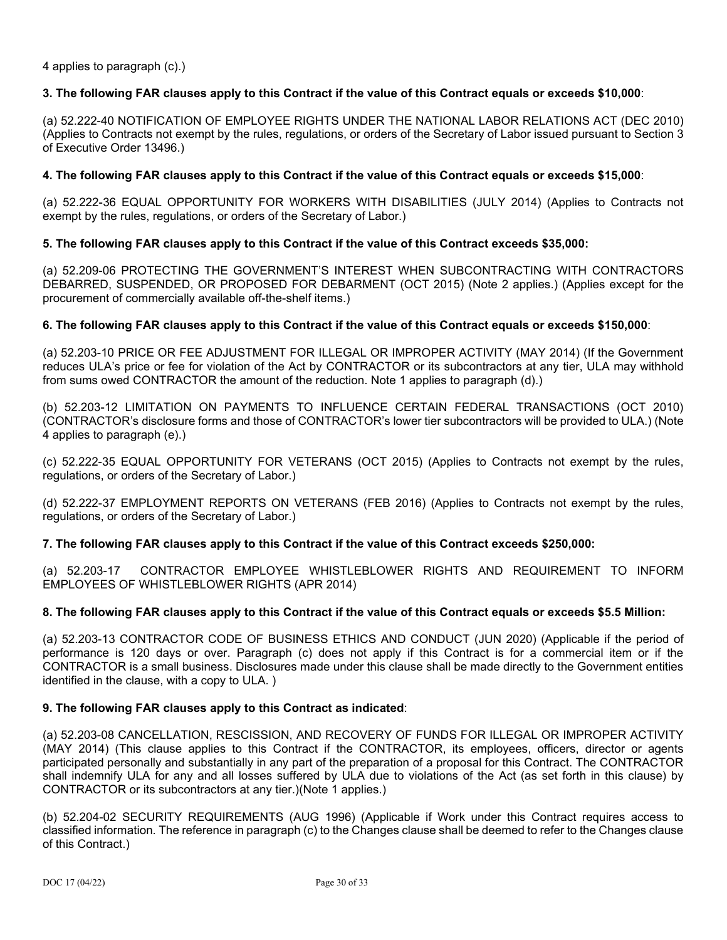4 applies to paragraph (c).)

### **3. The following FAR clauses apply to this Contract if the value of this Contract equals or exceeds \$10,000**:

(a) 52.222-40 NOTIFICATION OF EMPLOYEE RIGHTS UNDER THE NATIONAL LABOR RELATIONS ACT (DEC 2010) (Applies to Contracts not exempt by the rules, regulations, or orders of the Secretary of Labor issued pursuant to Section 3 of Executive Order 13496.)

## **4. The following FAR clauses apply to this Contract if the value of this Contract equals or exceeds \$15,000**:

(a) 52.222-36 EQUAL OPPORTUNITY FOR WORKERS WITH DISABILITIES (JULY 2014) (Applies to Contracts not exempt by the rules, regulations, or orders of the Secretary of Labor.)

### **5. The following FAR clauses apply to this Contract if the value of this Contract exceeds \$35,000:**

(a) 52.209-06 PROTECTING THE GOVERNMENT'S INTEREST WHEN SUBCONTRACTING WITH CONTRACTORS DEBARRED, SUSPENDED, OR PROPOSED FOR DEBARMENT (OCT 2015) (Note 2 applies.) (Applies except for the procurement of commercially available off-the-shelf items.)

### **6. The following FAR clauses apply to this Contract if the value of this Contract equals or exceeds \$150,000**:

(a) 52.203-10 PRICE OR FEE ADJUSTMENT FOR ILLEGAL OR IMPROPER ACTIVITY (MAY 2014) (If the Government reduces ULA's price or fee for violation of the Act by CONTRACTOR or its subcontractors at any tier, ULA may withhold from sums owed CONTRACTOR the amount of the reduction. Note 1 applies to paragraph (d).)

(b) 52.203-12 LIMITATION ON PAYMENTS TO INFLUENCE CERTAIN FEDERAL TRANSACTIONS (OCT 2010) (CONTRACTOR's disclosure forms and those of CONTRACTOR's lower tier subcontractors will be provided to ULA.) (Note 4 applies to paragraph (e).)

(c) 52.222-35 EQUAL OPPORTUNITY FOR VETERANS (OCT 2015) (Applies to Contracts not exempt by the rules, regulations, or orders of the Secretary of Labor.)

(d) 52.222-37 EMPLOYMENT REPORTS ON VETERANS (FEB 2016) (Applies to Contracts not exempt by the rules, regulations, or orders of the Secretary of Labor.)

## **7. The following FAR clauses apply to this Contract if the value of this Contract exceeds \$250,000:**

(a) 52.203-17 CONTRACTOR EMPLOYEE WHISTLEBLOWER RIGHTS AND REQUIREMENT TO INFORM EMPLOYEES OF WHISTLEBLOWER RIGHTS (APR 2014)

#### **8. The following FAR clauses apply to this Contract if the value of this Contract equals or exceeds \$5.5 Million:**

(a) 52.203-13 CONTRACTOR CODE OF BUSINESS ETHICS AND CONDUCT (JUN 2020) (Applicable if the period of performance is 120 days or over. Paragraph (c) does not apply if this Contract is for a commercial item or if the CONTRACTOR is a small business. Disclosures made under this clause shall be made directly to the Government entities identified in the clause, with a copy to ULA. )

#### **9. The following FAR clauses apply to this Contract as indicated**:

(a) 52.203-08 CANCELLATION, RESCISSION, AND RECOVERY OF FUNDS FOR ILLEGAL OR IMPROPER ACTIVITY (MAY 2014) (This clause applies to this Contract if the CONTRACTOR, its employees, officers, director or agents participated personally and substantially in any part of the preparation of a proposal for this Contract. The CONTRACTOR shall indemnify ULA for any and all losses suffered by ULA due to violations of the Act (as set forth in this clause) by CONTRACTOR or its subcontractors at any tier.)(Note 1 applies.)

(b) 52.204-02 SECURITY REQUIREMENTS (AUG 1996) (Applicable if Work under this Contract requires access to classified information. The reference in paragraph (c) to the Changes clause shall be deemed to refer to the Changes clause of this Contract.)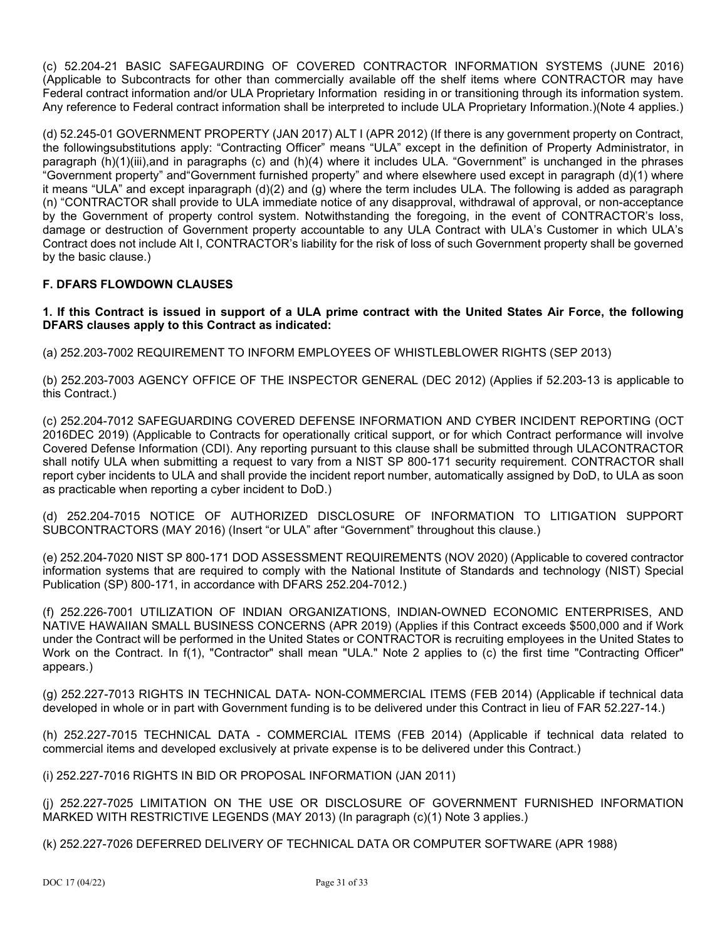(c) 52.204-21 BASIC SAFEGAURDING OF COVERED CONTRACTOR INFORMATION SYSTEMS (JUNE 2016) (Applicable to Subcontracts for other than commercially available off the shelf items where CONTRACTOR may have Federal contract information and/or ULA Proprietary Information residing in or transitioning through its information system. Any reference to Federal contract information shall be interpreted to include ULA Proprietary Information.)(Note 4 applies.)

(d) 52.245-01 GOVERNMENT PROPERTY (JAN 2017) ALT I (APR 2012) (If there is any government property on Contract, the followingsubstitutions apply: "Contracting Officer" means "ULA" except in the definition of Property Administrator, in paragraph (h)(1)(iii),and in paragraphs (c) and (h)(4) where it includes ULA. "Government" is unchanged in the phrases "Government property" and"Government furnished property" and where elsewhere used except in paragraph (d)(1) where it means "ULA" and except inparagraph (d)(2) and (g) where the term includes ULA. The following is added as paragraph (n) "CONTRACTOR shall provide to ULA immediate notice of any disapproval, withdrawal of approval, or non-acceptance by the Government of property control system. Notwithstanding the foregoing, in the event of CONTRACTOR's loss, damage or destruction of Government property accountable to any ULA Contract with ULA's Customer in which ULA's Contract does not include Alt I, CONTRACTOR's liability for the risk of loss of such Government property shall be governed by the basic clause.)

## **F. DFARS FLOWDOWN CLAUSES**

**1. If this Contract is issued in support of a ULA prime contract with the United States Air Force, the following DFARS clauses apply to this Contract as indicated:**

(a) 252.203-7002 REQUIREMENT TO INFORM EMPLOYEES OF WHISTLEBLOWER RIGHTS (SEP 2013)

(b) 252.203-7003 AGENCY OFFICE OF THE INSPECTOR GENERAL (DEC 2012) (Applies if 52.203-13 is applicable to this Contract.)

(c) 252.204-7012 SAFEGUARDING COVERED DEFENSE INFORMATION AND CYBER INCIDENT REPORTING (OCT 2016DEC 2019) (Applicable to Contracts for operationally critical support, or for which Contract performance will involve Covered Defense Information (CDI). Any reporting pursuant to this clause shall be submitted through ULACONTRACTOR shall notify ULA when submitting a request to vary from a NIST SP 800-171 security requirement. CONTRACTOR shall report cyber incidents to ULA and shall provide the incident report number, automatically assigned by DoD, to ULA as soon as practicable when reporting a cyber incident to DoD.)

(d) 252.204-7015 NOTICE OF AUTHORIZED DISCLOSURE OF INFORMATION TO LITIGATION SUPPORT SUBCONTRACTORS (MAY 2016) (Insert "or ULA" after "Government" throughout this clause.)

(e) 252.204-7020 NIST SP 800-171 DOD ASSESSMENT REQUIREMENTS (NOV 2020) (Applicable to covered contractor information systems that are required to comply with the National Institute of Standards and technology (NIST) Special Publication (SP) 800-171, in accordance with DFARS 252.204-7012.)

(f) 252.226-7001 UTILIZATION OF INDIAN ORGANIZATIONS, INDIAN-OWNED ECONOMIC ENTERPRISES, AND NATIVE HAWAIIAN SMALL BUSINESS CONCERNS (APR 2019) (Applies if this Contract exceeds \$500,000 and if Work under the Contract will be performed in the United States or CONTRACTOR is recruiting employees in the United States to Work on the Contract. In f(1), "Contractor" shall mean "ULA." Note 2 applies to (c) the first time "Contracting Officer" appears.)

(g) 252.227-7013 RIGHTS IN TECHNICAL DATA- NON-COMMERCIAL ITEMS (FEB 2014) (Applicable if technical data developed in whole or in part with Government funding is to be delivered under this Contract in lieu of FAR 52.227-14.)

(h) 252.227-7015 TECHNICAL DATA - COMMERCIAL ITEMS (FEB 2014) (Applicable if technical data related to commercial items and developed exclusively at private expense is to be delivered under this Contract.)

(i) 252.227-7016 RIGHTS IN BID OR PROPOSAL INFORMATION (JAN 2011)

(j) 252.227-7025 LIMITATION ON THE USE OR DISCLOSURE OF GOVERNMENT FURNISHED INFORMATION MARKED WITH RESTRICTIVE LEGENDS (MAY 2013) (In paragraph (c)(1) Note 3 applies.)

(k) 252.227-7026 DEFERRED DELIVERY OF TECHNICAL DATA OR COMPUTER SOFTWARE (APR 1988)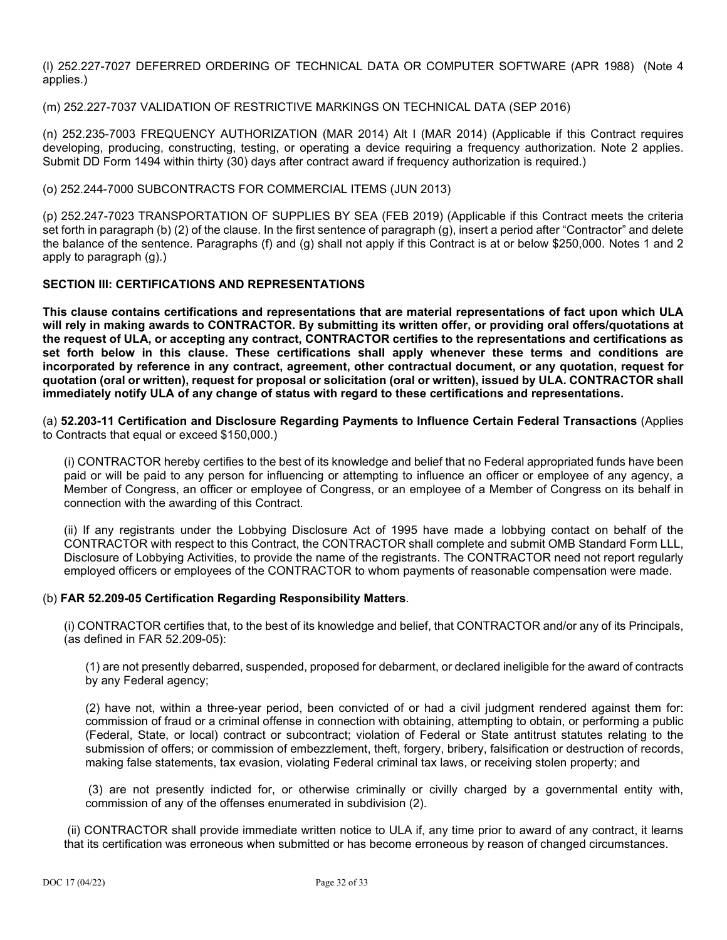(l) 252.227-7027 DEFERRED ORDERING OF TECHNICAL DATA OR COMPUTER SOFTWARE (APR 1988) (Note 4 applies.)

(m) 252.227-7037 VALIDATION OF RESTRICTIVE MARKINGS ON TECHNICAL DATA (SEP 2016)

(n) 252.235-7003 FREQUENCY AUTHORIZATION (MAR 2014) Alt I (MAR 2014) (Applicable if this Contract requires developing, producing, constructing, testing, or operating a device requiring a frequency authorization. Note 2 applies. Submit DD Form 1494 within thirty (30) days after contract award if frequency authorization is required.)

(o) 252.244-7000 SUBCONTRACTS FOR COMMERCIAL ITEMS (JUN 2013)

(p) 252.247-7023 TRANSPORTATION OF SUPPLIES BY SEA (FEB 2019) (Applicable if this Contract meets the criteria set forth in paragraph (b) (2) of the clause. In the first sentence of paragraph (g), insert a period after "Contractor" and delete the balance of the sentence. Paragraphs (f) and (g) shall not apply if this Contract is at or below \$250,000. Notes 1 and 2 apply to paragraph (g).)

### **SECTION III: CERTIFICATIONS AND REPRESENTATIONS**

**This clause contains certifications and representations that are material representations of fact upon which ULA will rely in making awards to CONTRACTOR. By submitting its written offer, or providing oral offers/quotations at the request of ULA, or accepting any contract, CONTRACTOR certifies to the representations and certifications as set forth below in this clause. These certifications shall apply whenever these terms and conditions are incorporated by reference in any contract, agreement, other contractual document, or any quotation, request for quotation (oral or written), request for proposal or solicitation (oral or written), issued by ULA. CONTRACTOR shall immediately notify ULA of any change of status with regard to these certifications and representations.**

(a) **52.203-11 Certification and Disclosure Regarding Payments to Influence Certain Federal Transactions** (Applies to Contracts that equal or exceed \$150,000.)

(i) CONTRACTOR hereby certifies to the best of its knowledge and belief that no Federal appropriated funds have been paid or will be paid to any person for influencing or attempting to influence an officer or employee of any agency, a Member of Congress, an officer or employee of Congress, or an employee of a Member of Congress on its behalf in connection with the awarding of this Contract.

(ii) If any registrants under the Lobbying Disclosure Act of 1995 have made a lobbying contact on behalf of the CONTRACTOR with respect to this Contract, the CONTRACTOR shall complete and submit OMB Standard Form LLL, Disclosure of Lobbying Activities, to provide the name of the registrants. The CONTRACTOR need not report regularly employed officers or employees of the CONTRACTOR to whom payments of reasonable compensation were made.

#### (b) **FAR 52.209-05 Certification Regarding Responsibility Matters**.

(i) CONTRACTOR certifies that, to the best of its knowledge and belief, that CONTRACTOR and/or any of its Principals, (as defined in FAR 52.209-05):

(1) are not presently debarred, suspended, proposed for debarment, or declared ineligible for the award of contracts by any Federal agency;

(2) have not, within a three-year period, been convicted of or had a civil judgment rendered against them for: commission of fraud or a criminal offense in connection with obtaining, attempting to obtain, or performing a public (Federal, State, or local) contract or subcontract; violation of Federal or State antitrust statutes relating to the submission of offers; or commission of embezzlement, theft, forgery, bribery, falsification or destruction of records, making false statements, tax evasion, violating Federal criminal tax laws, or receiving stolen property; and

(3) are not presently indicted for, or otherwise criminally or civilly charged by a governmental entity with, commission of any of the offenses enumerated in subdivision (2).

(ii) CONTRACTOR shall provide immediate written notice to ULA if, any time prior to award of any contract, it learns that its certification was erroneous when submitted or has become erroneous by reason of changed circumstances.